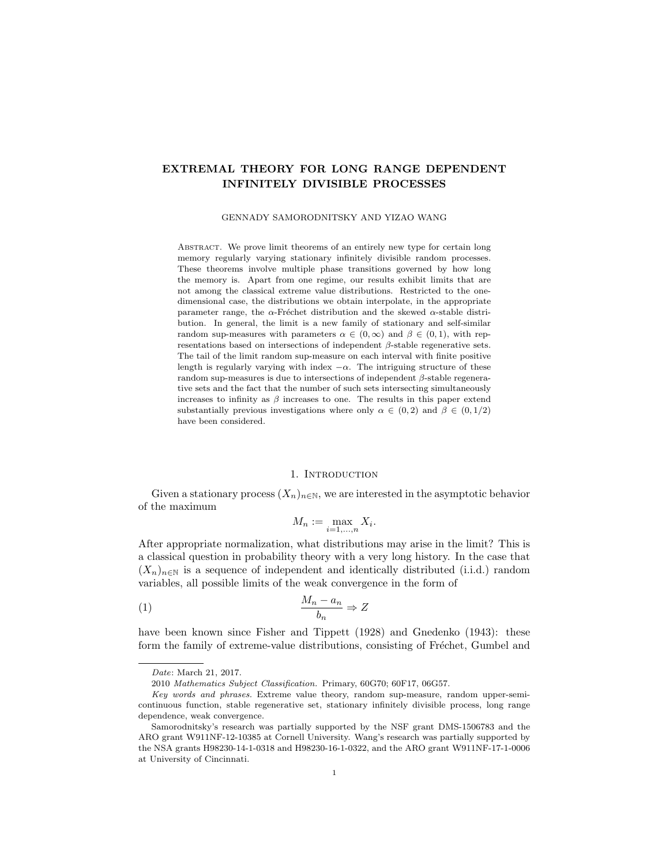# EXTREMAL THEORY FOR LONG RANGE DEPENDENT INFINITELY DIVISIBLE PROCESSES

GENNADY SAMORODNITSKY AND YIZAO WANG

ABSTRACT. We prove limit theorems of an entirely new type for certain long memory regularly varying stationary infinitely divisible random processes. These theorems involve multiple phase transitions governed by how long the memory is. Apart from one regime, our results exhibit limits that are not among the classical extreme value distributions. Restricted to the onedimensional case, the distributions we obtain interpolate, in the appropriate parameter range, the  $\alpha$ -Fréchet distribution and the skewed  $\alpha$ -stable distribution. In general, the limit is a new family of stationary and self-similar random sup-measures with parameters  $\alpha \in (0,\infty)$  and  $\beta \in (0,1)$ , with representations based on intersections of independent  $\beta$ -stable regenerative sets. The tail of the limit random sup-measure on each interval with finite positive length is regularly varying with index  $-\alpha$ . The intriguing structure of these random sup-measures is due to intersections of independent β-stable regenerative sets and the fact that the number of such sets intersecting simultaneously increases to infinity as  $\beta$  increases to one. The results in this paper extend substantially previous investigations where only  $\alpha \in (0, 2)$  and  $\beta \in (0, 1/2)$ have been considered.

# 1. INTRODUCTION

Given a stationary process  $(X_n)_{n\in\mathbb{N}}$ , we are interested in the asymptotic behavior of the maximum

$$
M_n := \max_{i=1,\dots,n} X_i.
$$

After appropriate normalization, what distributions may arise in the limit? This is a classical question in probability theory with a very long history. In the case that  $(X_n)_{n\in\mathbb{N}}$  is a sequence of independent and identically distributed (i.i.d.) random variables, all possible limits of the weak convergence in the form of

(1) <sup>M</sup><sup>n</sup> <sup>−</sup> <sup>a</sup><sup>n</sup> bn ⇒ Z

have been known since Fisher and Tippett (1928) and Gnedenko (1943): these form the family of extreme-value distributions, consisting of Fréchet, Gumbel and

Date: March 21, 2017.

<sup>2010</sup> Mathematics Subject Classification. Primary, 60G70; 60F17, 06G57.

Key words and phrases. Extreme value theory, random sup-measure, random upper-semicontinuous function, stable regenerative set, stationary infinitely divisible process, long range dependence, weak convergence.

Samorodnitsky's research was partially supported by the NSF grant DMS-1506783 and the ARO grant W911NF-12-10385 at Cornell University. Wang's research was partially supported by the NSA grants H98230-14-1-0318 and H98230-16-1-0322, and the ARO grant W911NF-17-1-0006 at University of Cincinnati.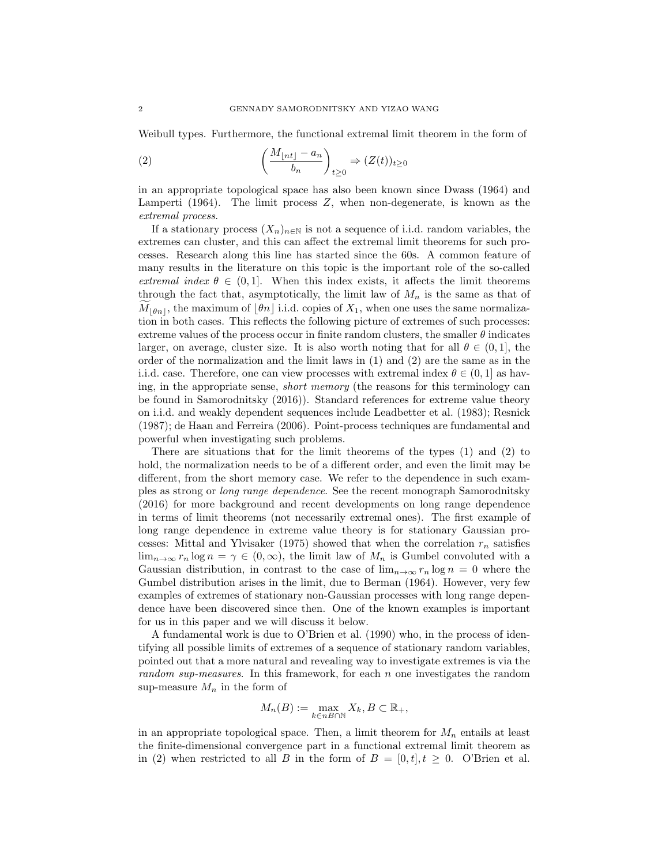Weibull types. Furthermore, the functional extremal limit theorem in the form of

(2) 
$$
\left(\frac{M_{\lfloor nt \rfloor} - a_n}{b_n}\right)_{t \ge 0} \Rightarrow (Z(t))_{t \ge 0}
$$

in an appropriate topological space has also been known since Dwass (1964) and Lamperti (1964). The limit process Z, when non-degenerate, is known as the extremal process.

If a stationary process  $(X_n)_{n\in\mathbb{N}}$  is not a sequence of i.i.d. random variables, the extremes can cluster, and this can affect the extremal limit theorems for such processes. Research along this line has started since the 60s. A common feature of many results in the literature on this topic is the important role of the so-called extremal index  $\theta \in (0,1]$ . When this index exists, it affects the limit theorems through the fact that, asymptotically, the limit law of  $M_n$  is the same as that of  $M_{\lfloor \theta n \rfloor}$ , the maximum of  $\lfloor \theta n \rfloor$  i.i.d. copies of  $X_1$ , when one uses the same normalization in both cases. This reflects the following picture of extremes of such processes: extreme values of the process occur in finite random clusters, the smaller  $\theta$  indicates larger, on average, cluster size. It is also worth noting that for all  $\theta \in (0,1]$ , the order of the normalization and the limit laws in (1) and (2) are the same as in the i.i.d. case. Therefore, one can view processes with extremal index  $\theta \in (0,1]$  as having, in the appropriate sense, short memory (the reasons for this terminology can be found in Samorodnitsky (2016)). Standard references for extreme value theory on i.i.d. and weakly dependent sequences include Leadbetter et al. (1983); Resnick (1987); de Haan and Ferreira (2006). Point-process techniques are fundamental and powerful when investigating such problems.

There are situations that for the limit theorems of the types (1) and (2) to hold, the normalization needs to be of a different order, and even the limit may be different, from the short memory case. We refer to the dependence in such examples as strong or long range dependence. See the recent monograph Samorodnitsky (2016) for more background and recent developments on long range dependence in terms of limit theorems (not necessarily extremal ones). The first example of long range dependence in extreme value theory is for stationary Gaussian processes: Mittal and Ylvisaker (1975) showed that when the correlation  $r_n$  satisfies  $\lim_{n\to\infty} r_n \log n = \gamma \in (0,\infty)$ , the limit law of  $M_n$  is Gumbel convoluted with a Gaussian distribution, in contrast to the case of  $\lim_{n\to\infty} r_n \log n = 0$  where the Gumbel distribution arises in the limit, due to Berman (1964). However, very few examples of extremes of stationary non-Gaussian processes with long range dependence have been discovered since then. One of the known examples is important for us in this paper and we will discuss it below.

A fundamental work is due to O'Brien et al. (1990) who, in the process of identifying all possible limits of extremes of a sequence of stationary random variables, pointed out that a more natural and revealing way to investigate extremes is via the random sup-measures. In this framework, for each n one investigates the random sup-measure  $M_n$  in the form of

$$
M_n(B) := \max_{k \in nB \cap \mathbb{N}} X_k, B \subset \mathbb{R}_+,
$$

in an appropriate topological space. Then, a limit theorem for  $M_n$  entails at least the finite-dimensional convergence part in a functional extremal limit theorem as in (2) when restricted to all B in the form of  $B = [0, t], t \geq 0$ . O'Brien et al.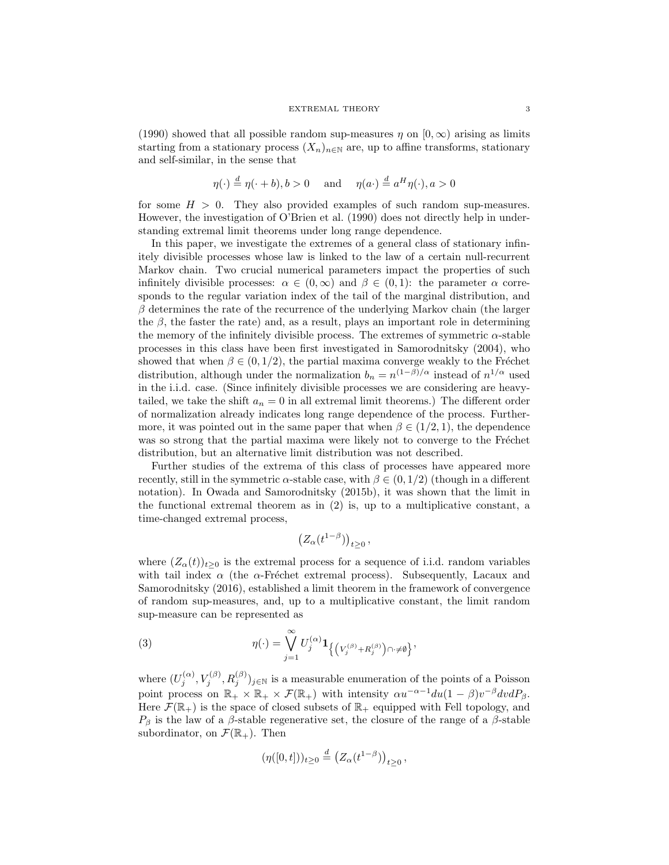(1990) showed that all possible random sup-measures  $\eta$  on  $[0,\infty)$  arising as limits starting from a stationary process  $(X_n)_{n\in\mathbb{N}}$  are, up to affine transforms, stationary and self-similar, in the sense that

$$
\eta(\cdot) \stackrel{d}{=} \eta(\cdot + b), b > 0
$$
 and  $\eta(a \cdot) \stackrel{d}{=} a^H \eta(\cdot), a > 0$ 

for some  $H > 0$ . They also provided examples of such random sup-measures. However, the investigation of O'Brien et al. (1990) does not directly help in understanding extremal limit theorems under long range dependence.

In this paper, we investigate the extremes of a general class of stationary infinitely divisible processes whose law is linked to the law of a certain null-recurrent Markov chain. Two crucial numerical parameters impact the properties of such infinitely divisible processes:  $\alpha \in (0,\infty)$  and  $\beta \in (0,1)$ : the parameter  $\alpha$  corresponds to the regular variation index of the tail of the marginal distribution, and  $\beta$  determines the rate of the recurrence of the underlying Markov chain (the larger the  $\beta$ , the faster the rate) and, as a result, plays an important role in determining the memory of the infinitely divisible process. The extremes of symmetric  $\alpha$ -stable processes in this class have been first investigated in Samorodnitsky (2004), who showed that when  $\beta \in (0, 1/2)$ , the partial maxima converge weakly to the Fréchet distribution, although under the normalization  $b_n = n^{(1-\beta)/\alpha}$  instead of  $n^{1/\alpha}$  used in the i.i.d. case. (Since infinitely divisible processes we are considering are heavytailed, we take the shift  $a_n = 0$  in all extremal limit theorems.) The different order of normalization already indicates long range dependence of the process. Furthermore, it was pointed out in the same paper that when  $\beta \in (1/2, 1)$ , the dependence was so strong that the partial maxima were likely not to converge to the Fréchet distribution, but an alternative limit distribution was not described.

Further studies of the extrema of this class of processes have appeared more recently, still in the symmetric  $\alpha$ -stable case, with  $\beta \in (0, 1/2)$  (though in a different notation). In Owada and Samorodnitsky (2015b), it was shown that the limit in the functional extremal theorem as in (2) is, up to a multiplicative constant, a time-changed extremal process,

$$
\left(Z_\alpha(t^{1-\beta})\right)_{t\geq 0},
$$

where  $(Z_{\alpha}(t))_{t\geq 0}$  is the extremal process for a sequence of i.i.d. random variables with tail index  $\alpha$  (the  $\alpha$ -Fréchet extremal process). Subsequently, Lacaux and Samorodnitsky (2016), established a limit theorem in the framework of convergence of random sup-measures, and, up to a multiplicative constant, the limit random sup-measure can be represented as

(3) 
$$
\eta(\cdot) = \bigvee_{j=1}^{\infty} U_j^{(\alpha)} \mathbf{1}_{\left\{ \left( V_j^{(\beta)} + R_j^{(\beta)} \right) \cap \neq \emptyset \right\}},
$$

where  $(U_j^{(\alpha)}, V_j^{(\beta)}, R_j^{(\beta)})_{j \in \mathbb{N}}$  is a measurable enumeration of the points of a Poisson point process on  $\mathbb{R}_+ \times \mathbb{R}_+ \times \mathcal{F}(\mathbb{R}_+)$  with intensity  $\alpha u^{-\alpha-1} du (1-\beta) v^{-\beta} dv dP_{\beta}$ . Here  $\mathcal{F}(\mathbb{R}_+)$  is the space of closed subsets of  $\mathbb{R}_+$  equipped with Fell topology, and  $P_\beta$  is the law of a  $\beta$ -stable regenerative set, the closure of the range of a  $\beta$ -stable subordinator, on  $\mathcal{F}(\mathbb{R}_+)$ . Then

$$
(\eta([0,t]))_{t\geq 0}\stackrel{d}{=} (Z_{\alpha}(t^{1-\beta}))_{t\geq 0},
$$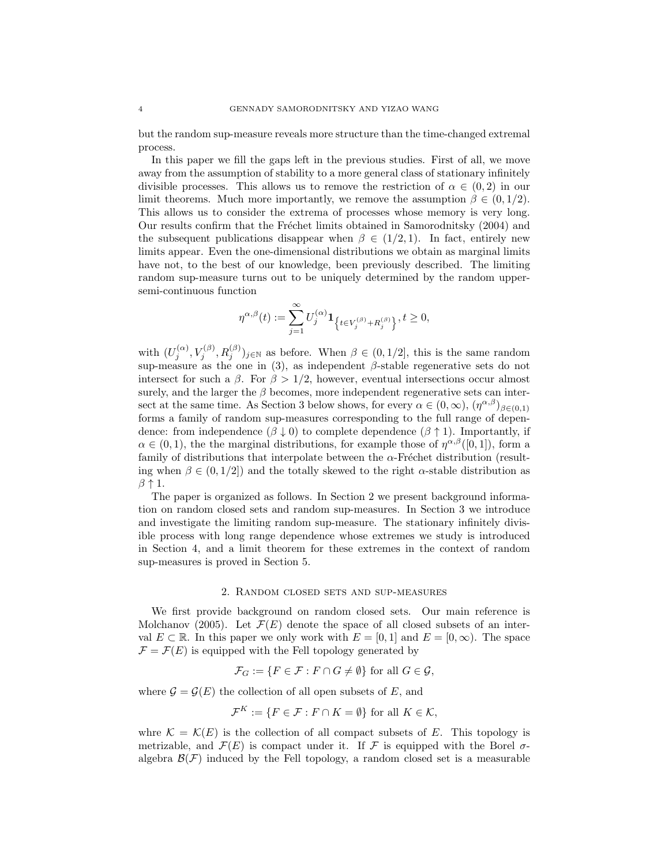but the random sup-measure reveals more structure than the time-changed extremal process.

In this paper we fill the gaps left in the previous studies. First of all, we move away from the assumption of stability to a more general class of stationary infinitely divisible processes. This allows us to remove the restriction of  $\alpha \in (0, 2)$  in our limit theorems. Much more importantly, we remove the assumption  $\beta \in (0, 1/2)$ . This allows us to consider the extrema of processes whose memory is very long. Our results confirm that the Fréchet limits obtained in Samorodnitsky (2004) and the subsequent publications disappear when  $\beta \in (1/2, 1)$ . In fact, entirely new limits appear. Even the one-dimensional distributions we obtain as marginal limits have not, to the best of our knowledge, been previously described. The limiting random sup-measure turns out to be uniquely determined by the random uppersemi-continuous function

$$
\eta^{\alpha,\beta}(t) := \sum_{j=1}^{\infty} U_j^{(\alpha)} \mathbf{1}_{\left\{t \in V_j^{(\beta)} + R_j^{(\beta)}\right\}}, t \ge 0,
$$

with  $(U_j^{(\alpha)}, V_j^{(\beta)}, R_j^{(\beta)})_{j \in \mathbb{N}}$  as before. When  $\beta \in (0, 1/2]$ , this is the same random sup-measure as the one in (3), as independent  $\beta$ -stable regenerative sets do not intersect for such a  $\beta$ . For  $\beta > 1/2$ , however, eventual intersections occur almost surely, and the larger the  $\beta$  becomes, more independent regenerative sets can intersect at the same time. As Section 3 below shows, for every  $\alpha \in (0,\infty)$ ,  $(\eta^{\alpha,\beta})_{\beta \in (0,1)}$ forms a family of random sup-measures corresponding to the full range of dependence: from independence  $(\beta \downarrow 0)$  to complete dependence  $(\beta \uparrow 1)$ . Importantly, if  $\alpha \in (0,1)$ , the the marginal distributions, for example those of  $\eta^{\alpha,\beta}([0,1])$ , form a family of distributions that interpolate between the  $\alpha$ -Fréchet distribution (resulting when  $\beta \in (0, 1/2]$  and the totally skewed to the right  $\alpha$ -stable distribution as  $\beta$   $\uparrow$  1.

The paper is organized as follows. In Section 2 we present background information on random closed sets and random sup-measures. In Section 3 we introduce and investigate the limiting random sup-measure. The stationary infinitely divisible process with long range dependence whose extremes we study is introduced in Section 4, and a limit theorem for these extremes in the context of random sup-measures is proved in Section 5.

# 2. Random closed sets and sup-measures

We first provide background on random closed sets. Our main reference is Molchanov (2005). Let  $\mathcal{F}(E)$  denote the space of all closed subsets of an interval  $E \subset \mathbb{R}$ . In this paper we only work with  $E = [0, 1]$  and  $E = [0, \infty)$ . The space  $\mathcal{F} = \mathcal{F}(E)$  is equipped with the Fell topology generated by

$$
\mathcal{F}_G := \{ F \in \mathcal{F} : F \cap G \neq \emptyset \} \text{ for all } G \in \mathcal{G},
$$

where  $\mathcal{G} = \mathcal{G}(E)$  the collection of all open subsets of E, and

$$
\mathcal{F}^K := \{ F \in \mathcal{F} : F \cap K = \emptyset \} \text{ for all } K \in \mathcal{K},
$$

whre  $\mathcal{K} = \mathcal{K}(E)$  is the collection of all compact subsets of E. This topology is metrizable, and  $\mathcal{F}(E)$  is compact under it. If F is equipped with the Borel  $\sigma$ algebra  $\mathcal{B}(\mathcal{F})$  induced by the Fell topology, a random closed set is a measurable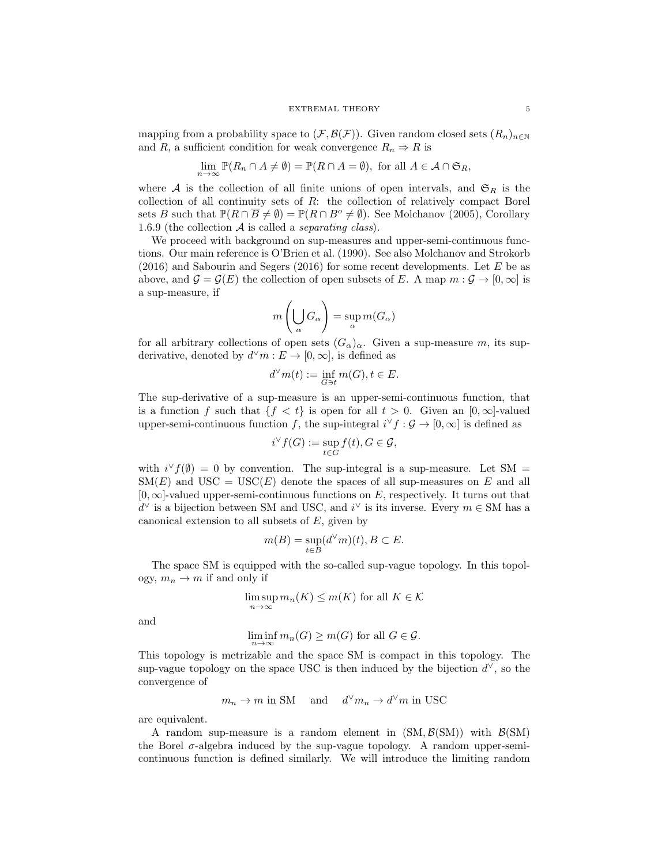mapping from a probability space to  $(\mathcal{F}, \mathcal{B}(\mathcal{F}))$ . Given random closed sets  $(R_n)_{n\in\mathbb{N}}$ and R, a sufficient condition for weak convergence  $R_n \Rightarrow R$  is

$$
\lim_{n \to \infty} \mathbb{P}(R_n \cap A \neq \emptyset) = \mathbb{P}(R \cap A = \emptyset), \text{ for all } A \in \mathcal{A} \cap \mathfrak{S}_R,
$$

where A is the collection of all finite unions of open intervals, and  $\mathfrak{S}_R$  is the collection of all continuity sets of R: the collection of relatively compact Borel sets B such that  $\mathbb{P}(R \cap \overline{B} \neq \emptyset) = \mathbb{P}(R \cap B^o \neq \emptyset)$ . See Molchanov (2005), Corollary 1.6.9 (the collection  $A$  is called a *separating class*).

We proceed with background on sup-measures and upper-semi-continuous functions. Our main reference is O'Brien et al. (1990). See also Molchanov and Strokorb  $(2016)$  and Sabourin and Segers (2016) for some recent developments. Let E be as above, and  $\mathcal{G} = \mathcal{G}(E)$  the collection of open subsets of E. A map  $m : \mathcal{G} \to [0, \infty]$  is a sup-measure, if

$$
m\left(\bigcup_{\alpha} G_{\alpha}\right) = \sup_{\alpha} m(G_{\alpha})
$$

for all arbitrary collections of open sets  $(G_{\alpha})_{\alpha}$ . Given a sup-measure m, its supderivative, denoted by  $d^{\vee}m : E \to [0, \infty]$ , is defined as

$$
d^{\vee}m(t) := \inf_{G \ni t} m(G), t \in E.
$$

The sup-derivative of a sup-measure is an upper-semi-continuous function, that is a function f such that  ${f < t}$  is open for all  $t > 0$ . Given an [0, ∞]-valued upper-semi-continuous function f, the sup-integral  $i^{\vee} f : \mathcal{G} \to [0, \infty]$  is defined as

$$
i^{\vee} f(G) := \sup_{t \in G} f(t), G \in \mathcal{G},
$$

with  $i^{\vee} f(\emptyset) = 0$  by convention. The sup-integral is a sup-measure. Let SM =  $\text{SM}(E)$  and  $\text{USC} = \text{USC}(E)$  denote the spaces of all sup-measures on E and all  $[0, \infty]$ -valued upper-semi-continuous functions on E, respectively. It turns out that  $d^{\vee}$  is a bijection between SM and USC, and  $i^{\vee}$  is its inverse. Every  $m \in SM$  has a canonical extension to all subsets of  $E$ , given by

$$
m(B) = \sup_{t \in B} (d^{\vee} m)(t), B \subset E.
$$

The space SM is equipped with the so-called sup-vague topology. In this topology,  $m_n \to m$  if and only if

$$
\limsup_{n \to \infty} m_n(K) \le m(K)
$$
 for all  $K \in \mathcal{K}$ 

and

$$
\liminf_{n \to \infty} m_n(G) \ge m(G) \text{ for all } G \in \mathcal{G}.
$$

This topology is metrizable and the space SM is compact in this topology. The sup-vague topology on the space USC is then induced by the bijection  $d^{\vee}$ , so the convergence of

 $m_n \to m$  in SM and  $d^{\vee} m_n \to d^{\vee} m$  in USC

are equivalent.

A random sup-measure is a random element in  $(SM, \mathcal{B}(SM))$  with  $\mathcal{B}(SM)$ the Borel  $\sigma$ -algebra induced by the sup-vague topology. A random upper-semicontinuous function is defined similarly. We will introduce the limiting random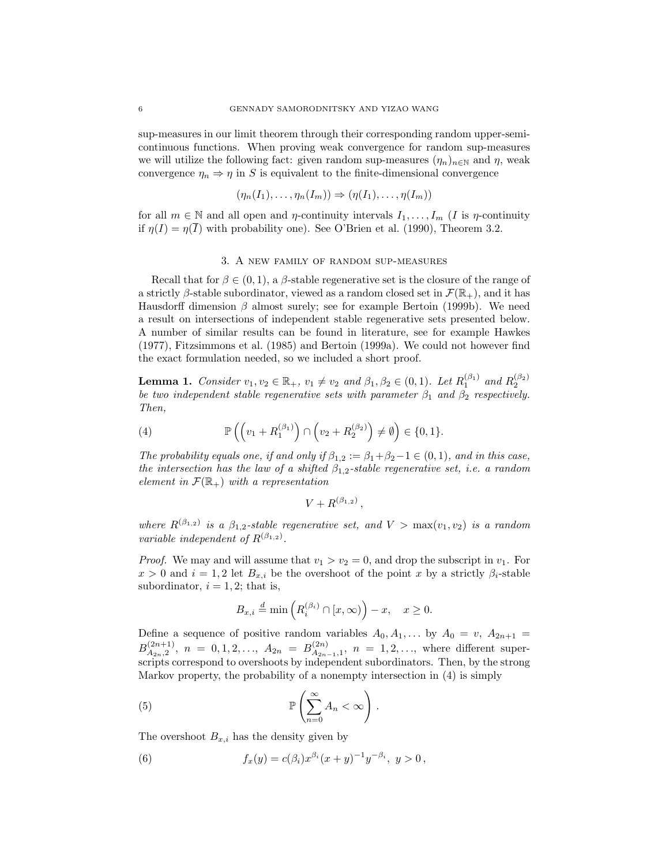sup-measures in our limit theorem through their corresponding random upper-semicontinuous functions. When proving weak convergence for random sup-measures we will utilize the following fact: given random sup-measures  $(\eta_n)_{n\in\mathbb{N}}$  and  $\eta$ , weak convergence  $\eta_n \Rightarrow \eta$  in S is equivalent to the finite-dimensional convergence

$$
(\eta_n(I_1),\ldots,\eta_n(I_m))\Rightarrow (\eta(I_1),\ldots,\eta(I_m))
$$

for all  $m \in \mathbb{N}$  and all open and  $\eta$ -continuity intervals  $I_1, \ldots, I_m$  (*I* is  $\eta$ -continuity if  $\eta(I) = \eta(\overline{I})$  with probability one). See O'Brien et al. (1990), Theorem 3.2.

### 3. A new family of random sup-measures

Recall that for  $\beta \in (0,1)$ , a  $\beta$ -stable regenerative set is the closure of the range of a strictly β-stable subordinator, viewed as a random closed set in  $\mathcal{F}(\mathbb{R}_+)$ , and it has Hausdorff dimension  $\beta$  almost surely; see for example Bertoin (1999b). We need a result on intersections of independent stable regenerative sets presented below. A number of similar results can be found in literature, see for example Hawkes (1977), Fitzsimmons et al. (1985) and Bertoin (1999a). We could not however find the exact formulation needed, so we included a short proof.

**Lemma 1.** Consider  $v_1, v_2 \in \mathbb{R}_+$ ,  $v_1 \neq v_2$  and  $\beta_1, \beta_2 \in (0, 1)$ . Let  $R_1^{(\beta_1)}$  and  $R_2^{(\beta_2)}$ <br>be two independent stable regenerative sets with parameter  $\beta_1$  and  $\beta_2$  respectively. Then,

(4) 
$$
\mathbb{P}\left(\left(v_1 + R_1^{(\beta_1)}\right) \cap \left(v_2 + R_2^{(\beta_2)}\right) \neq \emptyset\right) \in \{0, 1\}.
$$

The probability equals one, if and only if  $\beta_{1,2} := \beta_1 + \beta_2 - 1 \in (0,1)$ , and in this case, the intersection has the law of a shifted  $\beta_{1,2}$ -stable regenerative set, i.e. a random element in  $\mathcal{F}(\mathbb{R}_+)$  with a representation

$$
V+R^{(\beta_{1,2})},
$$

where  $R^{(\beta_{1,2})}$  is a  $\beta_{1,2}$ -stable regenerative set, and  $V > \max(v_1, v_2)$  is a random variable independent of  $R^{(\beta_{1,2})}$ .

*Proof.* We may and will assume that  $v_1 > v_2 = 0$ , and drop the subscript in  $v_1$ . For  $x > 0$  and  $i = 1, 2$  let  $B_{x,i}$  be the overshoot of the point x by a strictly  $\beta_i$ -stable subordinator,  $i = 1, 2$ ; that is,

$$
B_{x,i} \stackrel{d}{=} \min\left(R_i^{(\beta_i)} \cap [x,\infty)\right) - x, \quad x \ge 0.
$$

Define a sequence of positive random variables  $A_0, A_1, \ldots$  by  $A_0 = v$ ,  $A_{2n+1} =$  $B_{A_{2n},2}^{(2n+1)}$  $A_{2n,2}^{(2n+1)}$ ,  $n = 0, 1, 2, \ldots, A_{2n} = B_{A_{2n}}^{(2n)}$  $A_{2n-1,1}^{(2n)}$ ,  $n = 1, 2, \ldots$ , where different superscripts correspond to overshoots by independent subordinators. Then, by the strong Markov property, the probability of a nonempty intersection in (4) is simply

(5) 
$$
\mathbb{P}\left(\sum_{n=0}^{\infty} A_n < \infty\right).
$$

The overshoot  $B_{x,i}$  has the density given by

(6) 
$$
f_x(y) = c(\beta_i) x^{\beta_i} (x+y)^{-1} y^{-\beta_i}, \ y > 0,
$$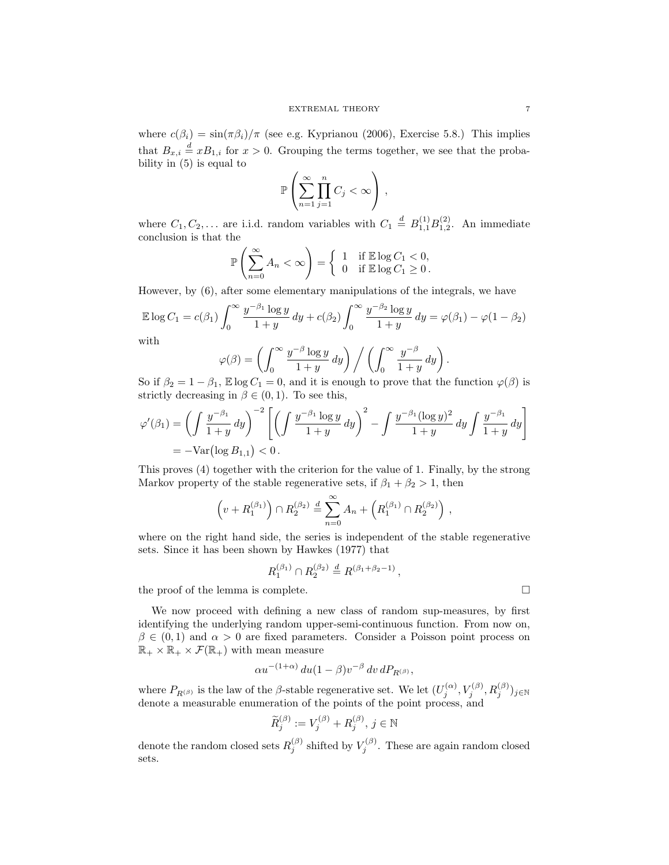where  $c(\beta_i) = \sin(\pi \beta_i)/\pi$  (see e.g. Kyprianou (2006), Exercise 5.8.) This implies that  $B_{x,i} \stackrel{d}{=} xB_{1,i}$  for  $x > 0$ . Grouping the terms together, we see that the probability in (5) is equal to

$$
\mathbb{P}\left(\sum_{n=1}^{\infty}\prod_{j=1}^{n}C_j<\infty\right),\,
$$

where  $C_1, C_2, \ldots$  are i.i.d. random variables with  $C_1 \stackrel{d}{=} B_{1,1}^{(1)} B_{1,2}^{(2)}$ . An immediate conclusion is that the

$$
\mathbb{P}\left(\sum_{n=0}^{\infty} A_n < \infty\right) = \left\{\begin{array}{ll} 1 & \text{if } \mathbb{E}\log C_1 < 0, \\ 0 & \text{if } \mathbb{E}\log C_1 \ge 0. \end{array}\right.
$$

However, by (6), after some elementary manipulations of the integrals, we have

$$
\mathbb{E}\log C_1 = c(\beta_1) \int_0^\infty \frac{y^{-\beta_1}\log y}{1+y} dy + c(\beta_2) \int_0^\infty \frac{y^{-\beta_2}\log y}{1+y} dy = \varphi(\beta_1) - \varphi(1-\beta_2)
$$
  
with

with

$$
\varphi(\beta) = \left( \int_0^\infty \frac{y^{-\beta} \log y}{1+y} \, dy \right) \bigg/ \left( \int_0^\infty \frac{y^{-\beta}}{1+y} \, dy \right).
$$

So if  $\beta_2 = 1 - \beta_1$ ,  $\mathbb{E} \log C_1 = 0$ , and it is enough to prove that the function  $\varphi(\beta)$  is strictly decreasing in  $\beta \in (0,1)$ . To see this,

$$
\varphi'(\beta_1) = \left(\int \frac{y^{-\beta_1}}{1+y} dy\right)^{-2} \left[\left(\int \frac{y^{-\beta_1} \log y}{1+y} dy\right)^2 - \int \frac{y^{-\beta_1} (\log y)^2}{1+y} dy \int \frac{y^{-\beta_1}}{1+y} dy\right] = -\text{Var}\left(\log B_{1,1}\right) < 0.
$$

This proves (4) together with the criterion for the value of 1. Finally, by the strong Markov property of the stable regenerative sets, if  $\beta_1 + \beta_2 > 1$ , then

$$
\left(v + R_1^{(\beta_1)}\right) \cap R_2^{(\beta_2)} \stackrel{d}{=} \sum_{n=0}^{\infty} A_n + \left(R_1^{(\beta_1)} \cap R_2^{(\beta_2)}\right),
$$

where on the right hand side, the series is independent of the stable regenerative sets. Since it has been shown by Hawkes (1977) that

$$
R_1^{(\beta_1)} \cap R_2^{(\beta_2)} \stackrel{d}{=} R^{(\beta_1 + \beta_2 - 1)},
$$

the proof of the lemma is complete.

We now proceed with defining a new class of random sup-measures, by first identifying the underlying random upper-semi-continuous function. From now on,  $\beta \in (0,1)$  and  $\alpha > 0$  are fixed parameters. Consider a Poisson point process on  $\mathbb{R}_+ \times \mathbb{R}_+ \times \mathcal{F}(\mathbb{R}_+)$  with mean measure

$$
\alpha u^{-(1+\alpha)} du (1-\beta) v^{-\beta} dv dP_{R^{(\beta)}},
$$

where  $P_{R^{(\beta)}}$  is the law of the  $\beta$ -stable regenerative set. We let  $(U_j^{(\alpha)}, V_j^{(\beta)}, R_j^{(\beta)})_{j \in \mathbb{N}}$ denote a measurable enumeration of the points of the point process, and

$$
\widetilde{R}_{j}^{(\beta)} := V_j^{(\beta)} + R_j^{(\beta)}, \, j \in \mathbb{N}
$$

denote the random closed sets  $R_j^{(\beta)}$  shifted by  $V_j^{(\beta)}$ . These are again random closed sets.

$$
^{7}
$$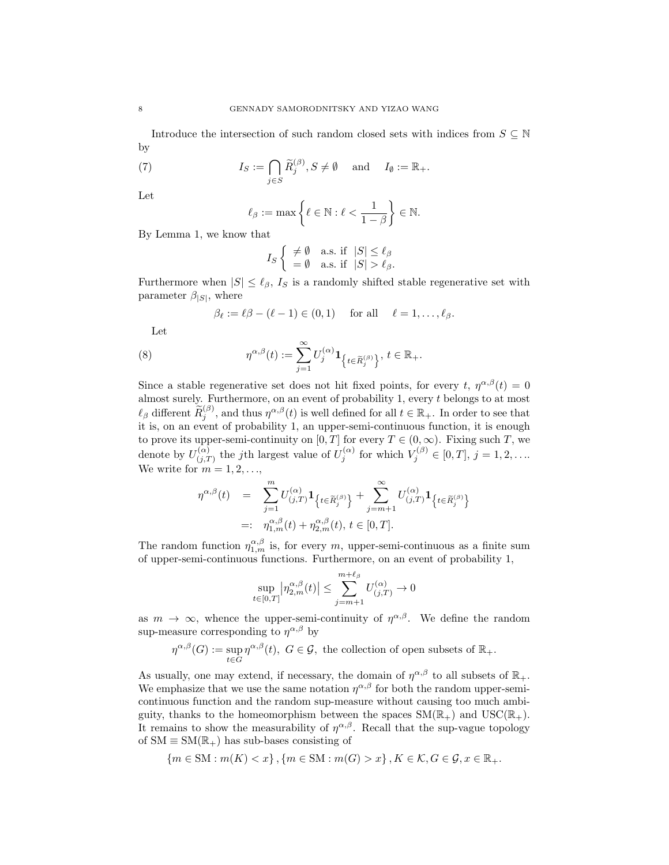Introduce the intersection of such random closed sets with indices from  $S \subseteq \mathbb{N}$ by

(7) 
$$
I_S := \bigcap_{j \in S} \widetilde{R}_j^{(\beta)}, S \neq \emptyset \quad \text{and} \quad I_{\emptyset} := \mathbb{R}_+.
$$

Let

$$
\ell_{\beta} := \max \left\{ \ell \in \mathbb{N} : \ell < \frac{1}{1 - \beta} \right\} \in \mathbb{N}.
$$

By Lemma 1, we know that

$$
I_S \left\{ \begin{array}{ll} \neq \emptyset & \text{a.s. if } |S| \leq \ell_\beta \\ = \emptyset & \text{a.s. if } |S| > \ell_\beta. \end{array} \right.
$$

Furthermore when  $|S| \leq \ell_{\beta}$ ,  $I_S$  is a randomly shifted stable regenerative set with parameter  $\beta_{|S|}$ , where

$$
\beta_{\ell} := \ell \beta - (\ell - 1) \in (0, 1) \quad \text{for all} \quad \ell = 1, \dots, \ell_{\beta}.
$$

Let

(8) 
$$
\eta^{\alpha,\beta}(t) := \sum_{j=1}^{\infty} U_j^{(\alpha)} \mathbf{1}_{\left\{t \in \widetilde{R}_j^{(\beta)}\right\}}, \ t \in \mathbb{R}_+.
$$

Since a stable regenerative set does not hit fixed points, for every t,  $\eta^{\alpha,\beta}(t) = 0$ almost surely. Furthermore, on an event of probability 1, every  $t$  belongs to at most  $\ell_{\beta}$  different  $\widetilde{R}_{j}^{(\beta)}$ , and thus  $\eta^{\alpha,\beta}(t)$  is well defined for all  $t \in \mathbb{R}_{+}$ . In order to see that it is, on an event of probability 1, an upper-semi-continuous function, it is enough to prove its upper-semi-continuity on  $[0, T]$  for every  $T \in (0, \infty)$ . Fixing such T, we denote by  $U^{(\alpha)}_{ij}$  $\chi_{(j,T)}^{(\alpha)}$  the jth largest value of  $U_j^{(\alpha)}$  for which  $V_j^{(\beta)} \in [0,T]$ ,  $j = 1,2,...$ We write for  $m = 1, 2, \ldots$ ,

$$
\eta^{\alpha,\beta}(t) = \sum_{j=1}^{m} U^{(\alpha)}_{(j,T)} \mathbf{1}_{\left\{t \in \widetilde{R}_{j}^{(\beta)}\right\}} + \sum_{j=m+1}^{\infty} U^{(\alpha)}_{(j,T)} \mathbf{1}_{\left\{t \in \widetilde{R}_{j}^{(\beta)}\right\}} =: \eta^{\alpha,\beta}_{1,m}(t) + \eta^{\alpha,\beta}_{2,m}(t), t \in [0,T].
$$

The random function  $\eta_{1,m}^{\alpha,\beta}$  is, for every m, upper-semi-continuous as a finite sum of upper-semi-continuous functions. Furthermore, on an event of probability 1,

$$
\sup_{t \in [0,T]} \left| \eta_{2,m}^{\alpha,\beta}(t) \right| \le \sum_{j=m+1}^{m+\ell_{\beta}} U_{(j,T)}^{(\alpha)} \to 0
$$

as  $m \to \infty$ , whence the upper-semi-continuity of  $\eta^{\alpha,\beta}$ . We define the random sup-measure corresponding to  $\eta^{\alpha,\beta}$  by

$$
\eta^{\alpha,\beta}(G) := \sup_{t \in G} \eta^{\alpha,\beta}(t), \ G \in \mathcal{G}, \text{ the collection of open subsets of } \mathbb{R}_+.
$$

As usually, one may extend, if necessary, the domain of  $\eta^{\alpha,\beta}$  to all subsets of  $\mathbb{R}_+$ . We emphasize that we use the same notation  $\eta^{\alpha,\beta}$  for both the random upper-semicontinuous function and the random sup-measure without causing too much ambiguity, thanks to the homeomorphism between the spaces  $SM(\mathbb{R}_+)$  and  $USC(\mathbb{R}_+)$ . It remains to show the measurability of  $\eta^{\alpha,\beta}$ . Recall that the sup-vague topology of  $SM \equiv SM(\mathbb{R}_+)$  has sub-bases consisting of

$$
\{m \in SM : m(K) < x\}, \{m \in SM : m(G) > x\}, K \in \mathcal{K}, G \in \mathcal{G}, x \in \mathbb{R}_+.
$$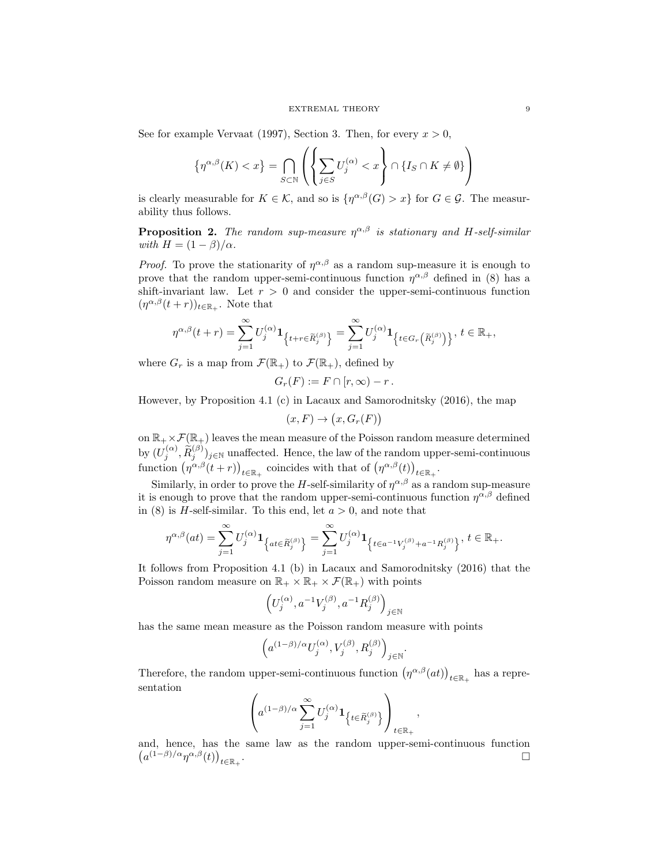See for example Vervaat (1997), Section 3. Then, for every  $x > 0$ ,

$$
\left\{\eta^{\alpha,\beta}(K)
$$

is clearly measurable for  $K \in \mathcal{K}$ , and so is  $\{\eta^{\alpha,\beta}(G) > x\}$  for  $G \in \mathcal{G}$ . The measurability thus follows.

**Proposition 2.** The random sup-measure  $\eta^{\alpha,\beta}$  is stationary and H-self-similar with  $H = (1 - \beta)/\alpha$ .

*Proof.* To prove the stationarity of  $\eta^{\alpha,\beta}$  as a random sup-measure it is enough to prove that the random upper-semi-continuous function  $\eta^{\alpha,\beta}$  defined in (8) has a shift-invariant law. Let  $r > 0$  and consider the upper-semi-continuous function  $(\eta^{\alpha,\beta}(t+r))_{t\in\mathbb{R}_+}$ . Note that

$$
\eta^{\alpha,\beta}(t+r)=\sum_{j=1}^\infty U_j^{(\alpha)}\mathbf{1}_{\left\{t+r\in \widetilde{R}_j^{(\beta)}\right\}}=\sum_{j=1}^\infty U_j^{(\alpha)}\mathbf{1}_{\left\{t\in G_r\left(\widetilde{R}_j^{(\beta)}\right)\right\}},\ t\in\mathbb{R}_+,
$$

where  $G_r$  is a map from  $\mathcal{F}(\mathbb{R}_+)$  to  $\mathcal{F}(\mathbb{R}_+)$ , defined by

$$
G_r(F) := F \cap [r, \infty) - r.
$$

However, by Proposition 4.1 (c) in Lacaux and Samorodnitsky (2016), the map

$$
(x, F) \to (x, G_r(F))
$$

on  $\mathbb{R}_+ \times \mathcal{F}(\mathbb{R}_+)$  leaves the mean measure of the Poisson random measure determined by  $(U_j^{(\alpha)}, \widetilde{R}_j^{(\beta)})_{j \in \mathbb{N}}$  unaffected. Hence, the law of the random upper-semi-continuous function  $(\eta^{\alpha,\beta}(t+r))_{t\in\mathbb{R}_+}$  coincides with that of  $(\eta^{\alpha,\beta}(t))_{t\in\mathbb{R}_+}$ .

Similarly, in order to prove the H-self-similarity of  $\eta^{\alpha,\beta}$  as a random sup-measure it is enough to prove that the random upper-semi-continuous function  $\eta^{\alpha,\beta}$  defined in (8) is *H*-self-similar. To this end, let  $a > 0$ , and note that

$$
\eta^{\alpha,\beta}(at)=\sum_{j=1}^\infty U_j^{(\alpha)}\mathbf{1}_{\left\{at\in\widetilde R_j^{(\beta)}\right\}}=\sum_{j=1}^\infty U_j^{(\alpha)}\mathbf{1}_{\left\{t\in a^{-1}V_j^{(\beta)}+a^{-1}R_j^{(\beta)}\right\}},\,t\in\mathbb{R}_+.
$$

It follows from Proposition 4.1 (b) in Lacaux and Samorodnitsky (2016) that the Poisson random measure on  $\mathbb{R}_+ \times \mathbb{R}_+ \times \mathcal{F}(\mathbb{R}_+)$  with points

$$
\Big(U_j^{(\alpha)},a^{-1}V_j^{(\beta)},a^{-1}R_j^{(\beta)}\Big)_{j\in\mathbb{N}}
$$

has the same mean measure as the Poisson random measure with points

$$
\left(a^{(1-\beta)/\alpha}U_j^{(\alpha)},V_j^{(\beta)},R_j^{(\beta)}\right)_{j\in\mathbb{N}}.
$$

Therefore, the random upper-semi-continuous function  $(\eta^{\alpha,\beta}(at))_{t\in\mathbb{R}_+}$  has a representation

$$
\left( a^{(1-\beta)/\alpha} \sum_{j=1}^{\infty} U_j^{(\alpha)} \mathbf{1}_{\left\{t \in \widetilde{R}_j^{(\beta)}\right\}} \right)_{t \in \mathbb{R}_+},
$$

and, hence, has the same law as the random upper-semi-continuous function  $(a^{(1-\beta)/\alpha}\eta^{\alpha,\beta}(t))_{t\in\mathbb{R}_+}$ . В последните последните последните последните последните последните последните последните последните последн<br>В 1990 година от селото на 1990 година от селото на 1990 година от селото на 1990 година от селото на 1990 год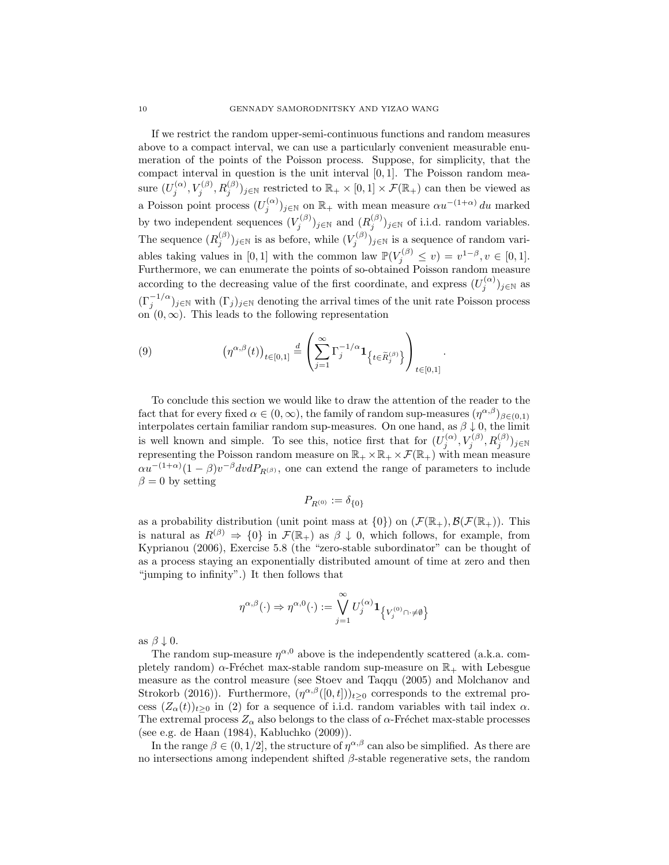If we restrict the random upper-semi-continuous functions and random measures above to a compact interval, we can use a particularly convenient measurable enumeration of the points of the Poisson process. Suppose, for simplicity, that the compact interval in question is the unit interval  $[0, 1]$ . The Poisson random measure  $(U_j^{(\alpha)}, V_j^{(\beta)}, R_j^{(\beta)})_{j \in \mathbb{N}}$  restricted to  $\mathbb{R}_+ \times [0,1] \times \mathcal{F}(\mathbb{R}_+)$  can then be viewed as a Poisson point process  $(U_j^{(\alpha)})_{j\in\mathbb{N}}$  on  $\mathbb{R}_+$  with mean measure  $\alpha u^{-(1+\alpha)} du$  marked by two independent sequences  $(V_j^{(\beta)})_{j \in \mathbb{N}}$  and  $(R_j^{(\beta)})_{j \in \mathbb{N}}$  of i.i.d. random variables. The sequence  $(R_j^{(\beta)})_{j \in \mathbb{N}}$  is as before, while  $(V_j^{(\beta)})_{j \in \mathbb{N}}$  is a sequence of random variables taking values in [0, 1] with the common law  $\mathbb{P}(V_j^{(\beta)} \leq v) = v^{1-\beta}, v \in [0,1].$ Furthermore, we can enumerate the points of so-obtained Poisson random measure according to the decreasing value of the first coordinate, and express  $(U_j^{(\alpha)})_{j\in\mathbb{N}}$  as  $(\Gamma_j^{-1/\alpha})_{j\in\mathbb{N}}$  with  $(\Gamma_j)_{j\in\mathbb{N}}$  denoting the arrival times of the unit rate Poisson process on  $(0, \infty)$ . This leads to the following representation

(9) 
$$
\left(\eta^{\alpha,\beta}(t)\right)_{t\in[0,1]} \stackrel{d}{=} \left(\sum_{j=1}^{\infty} \Gamma_j^{-1/\alpha} \mathbf{1}_{\left\{t\in\widetilde{R}_j^{(\beta)}\right\}}\right)_{t\in[0,1]}
$$

To conclude this section we would like to draw the attention of the reader to the fact that for every fixed  $\alpha \in (0,\infty)$ , the family of random sup-measures  $(\eta^{\alpha,\beta})_{\beta\in(0,1)}$ interpolates certain familiar random sup-measures. On one hand, as  $\beta \downarrow 0$ , the limit is well known and simple. To see this, notice first that for  $(U_j^{(\alpha)}, V_j^{(\beta)}, R_j^{(\beta)})_{j \in \mathbb{N}}$ representing the Poisson random measure on  $\mathbb{R}_+ \times \mathbb{R}_+ \times \mathcal{F}(\mathbb{R}_+)$  with mean measure  $\alpha u^{-(1+\alpha)}(1-\beta)v^{-\beta}dv dP_{R^{(\beta)}},$  one can extend the range of parameters to include  $\beta = 0$  by setting

.

$$
P_{R^{(0)}} := \delta_{\{0\}}
$$

as a probability distribution (unit point mass at  $\{0\}$ ) on  $(\mathcal{F}(\mathbb{R}_+), \mathcal{B}(\mathcal{F}(\mathbb{R}_+)).$  This is natural as  $R^{(\beta)} \Rightarrow \{0\}$  in  $\mathcal{F}(\mathbb{R}_+)$  as  $\beta \downarrow 0$ , which follows, for example, from Kyprianou (2006), Exercise 5.8 (the "zero-stable subordinator" can be thought of as a process staying an exponentially distributed amount of time at zero and then "jumping to infinity".) It then follows that

$$
\eta^{\alpha,\beta}(\cdot) \Rightarrow \eta^{\alpha,0}(\cdot) := \bigvee_{j=1}^{\infty} U_j^{(\alpha)} \mathbf{1}_{\left\{V_j^{(0)} \cap \cdot \neq \emptyset\right\}}
$$

as  $\beta \downarrow 0$ .

The random sup-measure  $\eta^{\alpha,0}$  above is the independently scattered (a.k.a. completely random)  $\alpha$ -Fréchet max-stable random sup-measure on  $\mathbb{R}_+$  with Lebesgue measure as the control measure (see Stoev and Taqqu (2005) and Molchanov and Strokorb (2016)). Furthermore,  $(\eta^{\alpha,\beta}([0,t]))_{t\geq0}$  corresponds to the extremal process  $(Z_{\alpha}(t))_{t\geq0}$  in (2) for a sequence of i.i.d. random variables with tail index  $\alpha$ . The extremal process  $Z_{\alpha}$  also belongs to the class of  $\alpha$ -Fréchet max-stable processes (see e.g. de Haan (1984), Kabluchko (2009)).

In the range  $\beta \in (0, 1/2]$ , the structure of  $\eta^{\alpha,\beta}$  can also be simplified. As there are no intersections among independent shifted  $\beta$ -stable regenerative sets, the random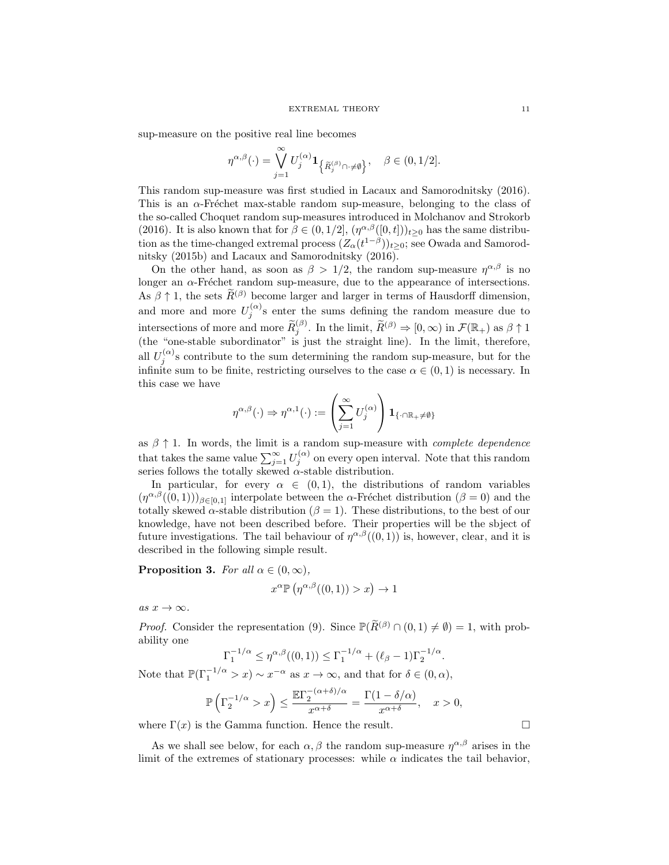sup-measure on the positive real line becomes

$$
\eta^{\alpha,\beta}(\cdot) = \bigvee_{j=1}^{\infty} U_j^{(\alpha)} \mathbf{1}_{\left\{\widetilde{R}_j^{(\beta)} \cap \cdot \neq \emptyset\right\}}, \quad \beta \in (0,1/2].
$$

This random sup-measure was first studied in Lacaux and Samorodnitsky (2016). This is an  $\alpha$ -Fréchet max-stable random sup-measure, belonging to the class of the so-called Choquet random sup-measures introduced in Molchanov and Strokorb (2016). It is also known that for  $\beta \in (0, 1/2]$ ,  $(\eta^{\alpha,\beta}([0,t]))_{t\geq 0}$  has the same distribution as the time-changed extremal process  $(Z_{\alpha}(t^{1-\beta}))_{t\geq 0}$ ; see Owada and Samorodnitsky (2015b) and Lacaux and Samorodnitsky (2016).

On the other hand, as soon as  $\beta > 1/2$ , the random sup-measure  $\eta^{\alpha,\beta}$  is no longer an  $\alpha$ -Fréchet random sup-measure, due to the appearance of intersections. As  $\beta \uparrow 1$ , the sets  $\widetilde{R}^{(\beta)}$  become larger and larger in terms of Hausdorff dimension, and more and more  $U_j^{(\alpha)}$ s enter the sums defining the random measure due to intersections of more and more  $\widetilde{R}_{j}^{(\beta)}$ . In the limit,  $\widetilde{R}^{(\beta)} \Rightarrow [0, \infty)$  in  $\mathcal{F}(\mathbb{R}_{+})$  as  $\beta \uparrow 1$  (the "one-stable subordinator" is just the straight line). In the limit, therefore, all  $U_j^{(\alpha)}$ s contribute to the sum determining the random sup-measure, but for the infinite sum to be finite, restricting ourselves to the case  $\alpha \in (0,1)$  is necessary. In this case we have

$$
\eta^{\alpha,\beta}(\cdot) \Rightarrow \eta^{\alpha,1}(\cdot) := \left(\sum_{j=1}^{\infty} U_j^{(\alpha)}\right) \mathbf{1}_{\{\cdot \cap \mathbb{R}_+ \neq \emptyset\}}
$$

as  $\beta \uparrow 1$ . In words, the limit is a random sup-measure with *complete dependence* that takes the same value  $\sum_{j=1}^{\infty} U_j^{(\alpha)}$  on every open interval. Note that this random series follows the totally skewed  $\alpha$ -stable distribution.

In particular, for every  $\alpha \in (0,1)$ , the distributions of random variables  $(\eta^{\alpha,\beta}((0,1)))_{\beta\in[0,1]}$  interpolate between the  $\alpha$ -Fréchet distribution  $(\beta = 0)$  and the totally skewed  $\alpha$ -stable distribution ( $\beta = 1$ ). These distributions, to the best of our knowledge, have not been described before. Their properties will be the sbject of future investigations. The tail behaviour of  $\eta^{\alpha,\beta}((0,1))$  is, however, clear, and it is described in the following simple result.

**Proposition 3.** For all  $\alpha \in (0, \infty)$ ,

$$
x^{\alpha} \mathbb{P}\left(\eta^{\alpha,\beta}((0,1)) > x\right) \to 1
$$

as  $x \to \infty$ .

*Proof.* Consider the representation (9). Since  $\mathbb{P}(\widetilde{R}^{(\beta)} \cap (0,1) \neq \emptyset) = 1$ , with probability one

$$
\Gamma_1^{-1/\alpha} \le \eta^{\alpha,\beta}((0,1)) \le \Gamma_1^{-1/\alpha} + (\ell_{\beta} - 1)\Gamma_2^{-1/\alpha}.
$$

Note that  $\mathbb{P}(\Gamma_1^{-1/\alpha} > x) \sim x^{-\alpha}$  as  $x \to \infty$ , and that for  $\delta \in (0, \alpha)$ ,

$$
\mathbb{P}\left(\Gamma_2^{-1/\alpha} > x\right) \le \frac{\mathbb{E}\Gamma_2^{-(\alpha+\delta)/\alpha}}{x^{\alpha+\delta}} = \frac{\Gamma(1-\delta/\alpha)}{x^{\alpha+\delta}}, \quad x > 0,
$$

where  $\Gamma(x)$  is the Gamma function. Hence the result.

As we shall see below, for each  $\alpha, \beta$  the random sup-measure  $\eta^{\alpha,\beta}$  arises in the limit of the extremes of stationary processes: while  $\alpha$  indicates the tail behavior,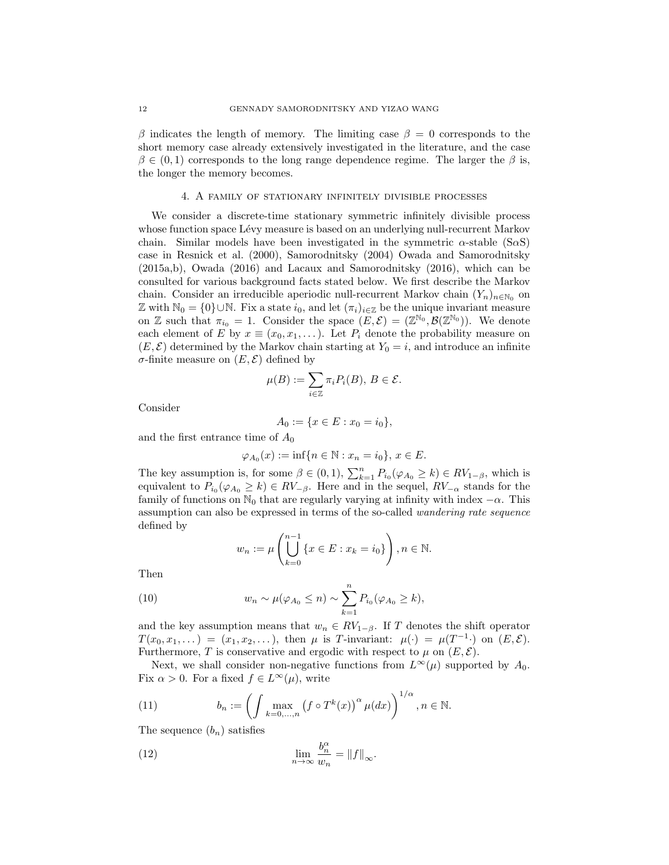β indicates the length of memory. The limiting case  $β = 0$  corresponds to the short memory case already extensively investigated in the literature, and the case  $\beta \in (0,1)$  corresponds to the long range dependence regime. The larger the  $\beta$  is, the longer the memory becomes.

# 4. A family of stationary infinitely divisible processes

We consider a discrete-time stationary symmetric infinitely divisible process whose function space Lévy measure is based on an underlying null-recurrent Markov chain. Similar models have been investigated in the symmetric  $\alpha$ -stable (S $\alpha$ S) case in Resnick et al. (2000), Samorodnitsky (2004) Owada and Samorodnitsky (2015a,b), Owada (2016) and Lacaux and Samorodnitsky (2016), which can be consulted for various background facts stated below. We first describe the Markov chain. Consider an irreducible aperiodic null-recurrent Markov chain  $(Y_n)_{n\in\mathbb{N}_0}$  on Z with  $\mathbb{N}_0 = \{0\} \cup \mathbb{N}$ . Fix a state  $i_0$ , and let  $(\pi_i)_{i \in \mathbb{Z}}$  be the unique invariant measure on Z such that  $\pi_{i_0} = 1$ . Consider the space  $(E, \mathcal{E}) = (\mathbb{Z}^{\mathbb{N}_0}, \mathcal{B}(\mathbb{Z}^{\mathbb{N}_0}))$ . We denote each element of E by  $x \equiv (x_0, x_1, \ldots)$ . Let  $P_i$  denote the probability measure on  $(E, \mathcal{E})$  determined by the Markov chain starting at  $Y_0 = i$ , and introduce an infinite σ-finite measure on (E, E) defined by

$$
\mu(B) := \sum_{i \in \mathbb{Z}} \pi_i P_i(B), \, B \in \mathcal{E}.
$$

Consider

$$
A_0 := \{ x \in E : x_0 = i_0 \},
$$

and the first entrance time of  $A_0$ 

$$
\varphi_{A_0}(x) := \inf\{n \in \mathbb{N} : x_n = i_0\}, x \in E.
$$

The key assumption is, for some  $\beta \in (0,1)$ ,  $\sum_{k=1}^{n} P_{i_0}(\varphi_{A_0} \ge k) \in RV_{1-\beta}$ , which is equivalent to  $P_{i_0}(\varphi_{A_0} \ge k) \in RV_{-\beta}$ . Here and in the sequel,  $RV_{-\alpha}$  stands for the family of functions on  $\mathbb{N}_0$  that are regularly varying at infinity with index  $-\alpha$ . This assumption can also be expressed in terms of the so-called wandering rate sequence defined by

$$
w_n := \mu \left( \bigcup_{k=0}^{n-1} \{ x \in E : x_k = i_0 \} \right), n \in \mathbb{N}.
$$

Then

(10) 
$$
w_n \sim \mu(\varphi_{A_0} \leq n) \sim \sum_{k=1}^n P_{i_0}(\varphi_{A_0} \geq k),
$$

and the key assumption means that  $w_n \in RV_{1-\beta}$ . If T denotes the shift operator  $T(x_0, x_1, \dots) = (x_1, x_2, \dots),$  then  $\mu$  is T-invariant:  $\mu(\cdot) = \mu(T^{-1} \cdot)$  on  $(E, \mathcal{E}).$ Furthermore, T is conservative and ergodic with respect to  $\mu$  on  $(E, \mathcal{E})$ .

Next, we shall consider non-negative functions from  $L^{\infty}(\mu)$  supported by  $A_0$ . Fix  $\alpha > 0$ . For a fixed  $f \in L^{\infty}(\mu)$ , write

(11) 
$$
b_n := \left( \int \max_{k=0,\dots,n} \left( f \circ T^k(x) \right)^{\alpha} \mu(dx) \right)^{1/\alpha}, n \in \mathbb{N}.
$$

The sequence  $(b_n)$  satisfies

(12) 
$$
\lim_{n \to \infty} \frac{b_n^{\alpha}}{w_n} = ||f||_{\infty}.
$$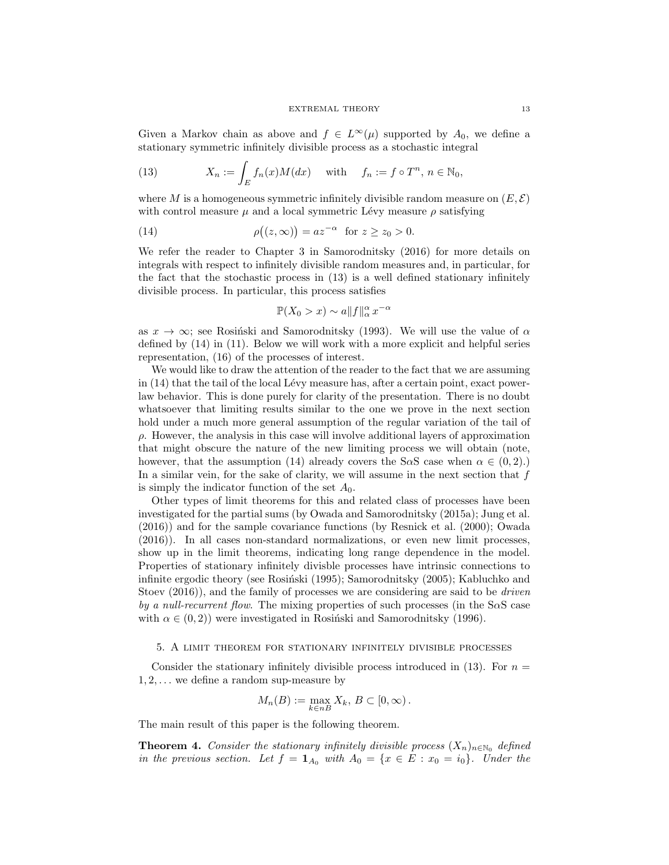Given a Markov chain as above and  $f \in L^{\infty}(\mu)$  supported by  $A_0$ , we define a stationary symmetric infinitely divisible process as a stochastic integral

(13) 
$$
X_n := \int_E f_n(x)M(dx) \quad \text{with} \quad f_n := f \circ T^n, n \in \mathbb{N}_0,
$$

where M is a homogeneous symmetric infinitely divisible random measure on  $(E, \mathcal{E})$ with control measure  $\mu$  and a local symmetric Lévy measure  $\rho$  satisfying

(14) 
$$
\rho((z,\infty)) = az^{-\alpha} \text{ for } z \ge z_0 > 0.
$$

We refer the reader to Chapter 3 in Samorodnitsky (2016) for more details on integrals with respect to infinitely divisible random measures and, in particular, for the fact that the stochastic process in (13) is a well defined stationary infinitely divisible process. In particular, this process satisfies

$$
\mathbb{P}(X_0 > x) \sim a \|f\|_{\alpha}^{\alpha} x^{-\alpha}
$$

as  $x \to \infty$ ; see Rosiński and Samorodnitsky (1993). We will use the value of  $\alpha$ defined by (14) in (11). Below we will work with a more explicit and helpful series representation, (16) of the processes of interest.

We would like to draw the attention of the reader to the fact that we are assuming in  $(14)$  that the tail of the local Lévy measure has, after a certain point, exact powerlaw behavior. This is done purely for clarity of the presentation. There is no doubt whatsoever that limiting results similar to the one we prove in the next section hold under a much more general assumption of the regular variation of the tail of  $\rho$ . However, the analysis in this case will involve additional layers of approximation that might obscure the nature of the new limiting process we will obtain (note, however, that the assumption (14) already covers the S $\alpha$ S case when  $\alpha \in (0, 2)$ .) In a similar vein, for the sake of clarity, we will assume in the next section that  $f$ is simply the indicator function of the set  $A_0$ .

Other types of limit theorems for this and related class of processes have been investigated for the partial sums (by Owada and Samorodnitsky (2015a); Jung et al. (2016)) and for the sample covariance functions (by Resnick et al. (2000); Owada (2016)). In all cases non-standard normalizations, or even new limit processes, show up in the limit theorems, indicating long range dependence in the model. Properties of stationary infinitely divisble processes have intrinsic connections to infinite ergodic theory (see Rosiński (1995); Samorodnitsky (2005); Kabluchko and Stoev  $(2016)$ , and the family of processes we are considering are said to be *driven* by a null-recurrent flow. The mixing properties of such processes (in the  $S\alpha S$  case with  $\alpha \in (0, 2)$ ) were investigated in Rosiński and Samorodnitsky (1996).

# 5. A limit theorem for stationary infinitely divisible processes

Consider the stationary infinitely divisible process introduced in  $(13)$ . For  $n =$  $1, 2, \ldots$  we define a random sup-measure by

$$
M_n(B) := \max_{k \in nB} X_k, B \subset [0, \infty).
$$

The main result of this paper is the following theorem.

**Theorem 4.** Consider the stationary infinitely divisible process  $(X_n)_{n\in\mathbb{N}_0}$  defined in the previous section. Let  $f = \mathbf{1}_{A_0}$  with  $A_0 = \{x \in E : x_0 = i_0\}$ . Under the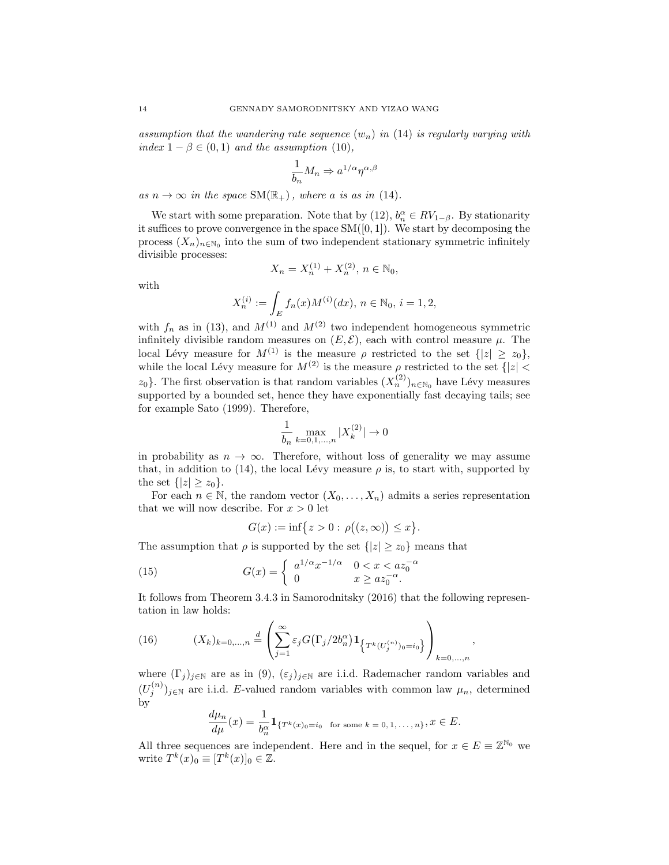assumption that the wandering rate sequence  $(w_n)$  in (14) is regularly varying with index  $1 - \beta \in (0,1)$  and the assumption (10),

$$
\frac{1}{b_n}M_n \Rightarrow a^{1/\alpha}\eta^{\alpha,\beta}
$$

as  $n \to \infty$  in the space  $SM(\mathbb{R}_+)$ , where a is as in (14).

We start with some preparation. Note that by (12),  $b_n^{\alpha} \in RV_{1-\beta}$ . By stationarity it suffices to prove convergence in the space  $SM([0, 1])$ . We start by decomposing the process  $(X_n)_{n\in\mathbb{N}_0}$  into the sum of two independent stationary symmetric infinitely divisible processes:

$$
\quad\text{with}\quad
$$

$$
X_n^{(i)} := \int_E f_n(x)M^{(i)}(dx), \ n \in \mathbb{N}_0, \ i = 1, 2,
$$

 $X_n = X_n^{(1)} + X_n^{(2)}, n \in \mathbb{N}_0,$ 

with  $f_n$  as in (13), and  $M^{(1)}$  and  $M^{(2)}$  two independent homogeneous symmetric infinitely divisible random measures on  $(E, \mathcal{E})$ , each with control measure  $\mu$ . The local Lévy measure for  $M^{(1)}$  is the measure  $\rho$  restricted to the set  $\{|z| \geq z_0\},$ while the local Lévy measure for  $M^{(2)}$  is the measure  $\rho$  restricted to the set  $\{|z| < \infty$  $z_0$ . The first observation is that random variables  $(X_n^{(2)})_{n\in\mathbb{N}_0}$  have Lévy measures supported by a bounded set, hence they have exponentially fast decaying tails; see for example Sato (1999). Therefore,

$$
\frac{1}{b_n}\max_{k=0,1,...,n}|X_k^{(2)}|\to 0
$$

in probability as  $n \to \infty$ . Therefore, without loss of generality we may assume that, in addition to (14), the local Lévy measure  $\rho$  is, to start with, supported by the set  $\{|z|\geq z_0\}$ .

For each  $n \in \mathbb{N}$ , the random vector  $(X_0, \ldots, X_n)$  admits a series representation that we will now describe. For  $x > 0$  let

$$
G(x) := \inf\{z > 0 : \rho((z, \infty)) \le x\}.
$$

The assumption that  $\rho$  is supported by the set  $\{|z| \geq z_0\}$  means that

(15) 
$$
G(x) = \begin{cases} a^{1/\alpha} x^{-1/\alpha} & 0 < x < a z_0^{-\alpha} \\ 0 & x \ge a z_0^{-\alpha}. \end{cases}
$$

It follows from Theorem 3.4.3 in Samorodnitsky (2016) that the following representation in law holds:

,

(16) 
$$
(X_k)_{k=0,...,n} \stackrel{d}{=} \left( \sum_{j=1}^{\infty} \varepsilon_j G(\Gamma_j/2b_n^{\alpha}) \mathbf{1}_{\left\{T^k(U_j^{(n)})_0 = i_0\right\}} \right)_{k=0,...,n}
$$

where  $(\Gamma_j)_{j\in\mathbb{N}}$  are as in  $(9)$ ,  $(\varepsilon_j)_{j\in\mathbb{N}}$  are i.i.d. Rademacher random variables and  $(U_j^{(n)})_{j\in\mathbb{N}}$  are i.i.d. E-valued random variables with common law  $\mu_n$ , determined by

$$
\frac{d\mu_n}{d\mu}(x) = \frac{1}{b_n^{\alpha}} \mathbf{1}_{\{T^k(x)_0 = i_0 \text{ for some } k = 0, 1, \dots, n\}}, x \in E.
$$

All three sequences are independent. Here and in the sequel, for  $x \in E \equiv \mathbb{Z}^{\mathbb{N}_0}$  we write  $T^k(x)_0 \equiv [T^k(x)]_0 \in \mathbb{Z}$ .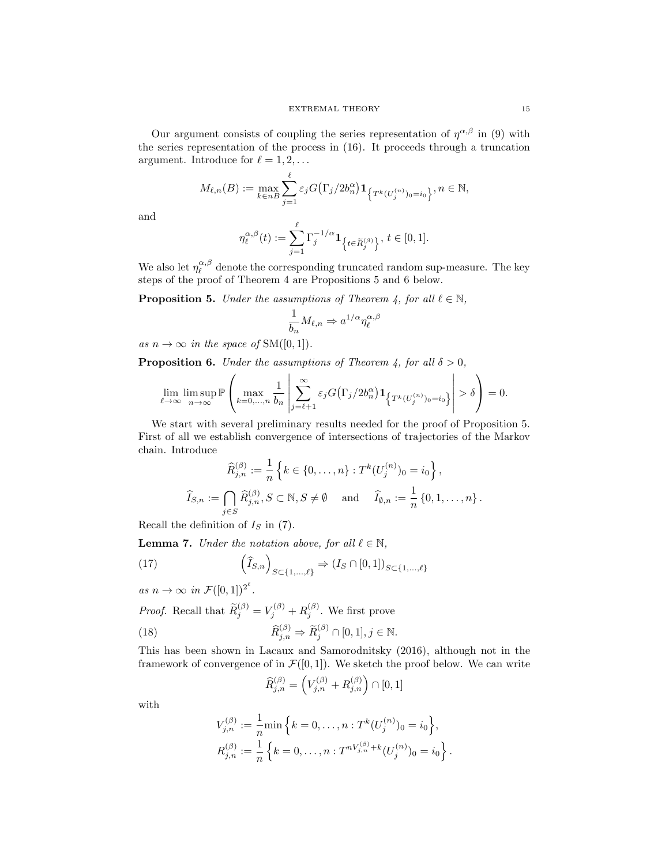Our argument consists of coupling the series representation of  $\eta^{\alpha,\beta}$  in (9) with the series representation of the process in (16). It proceeds through a truncation argument. Introduce for  $\ell = 1, 2, \ldots$ 

$$
M_{\ell,n}(B) := \max_{k \in nB} \sum_{j=1}^{\ell} \varepsilon_j G(\Gamma_j/2b_n^{\alpha}) \mathbf{1}_{\left\{T^k(U_j^{(n)})_0 = i_0\right\}}, n \in \mathbb{N},
$$

and

$$
\eta_{\ell}^{\alpha,\beta}(t) := \sum_{j=1}^{\ell} \Gamma_j^{-1/\alpha} \mathbf{1}_{\left\{t \in \widetilde{R}_j^{(\beta)}\right\}}, \, t \in [0,1].
$$

We also let  $\eta_{\ell}^{\alpha,\beta}$  denote the corresponding truncated random sup-measure. The key steps of the proof of Theorem 4 are Propositions 5 and 6 below.

**Proposition 5.** Under the assumptions of Theorem 4, for all  $\ell \in \mathbb{N}$ ,

$$
\frac{1}{b_n}M_{\ell,n}\Rightarrow a^{1/\alpha}\eta_{\ell}^{\alpha,\beta}
$$

as  $n \to \infty$  in the space of SM([0, 1]).

**Proposition 6.** Under the assumptions of Theorem 4, for all  $\delta > 0$ ,

$$
\lim_{\ell \to \infty} \limsup_{n \to \infty} \mathbb{P}\left(\max_{k=0,\dots,n} \frac{1}{b_n} \left| \sum_{j=\ell+1}^{\infty} \varepsilon_j G(\Gamma_j/2b_n^{\alpha}) \mathbf{1}_{\left\{T^k(U_j^{(n)})_0 = i_0\right\}} \right| > \delta\right) = 0.
$$

We start with several preliminary results needed for the proof of Proposition 5. First of all we establish convergence of intersections of trajectories of the Markov chain. Introduce

$$
\widehat{R}_{j,n}^{(\beta)} := \frac{1}{n} \left\{ k \in \{0, \dots, n\} : T^k (U_j^{(n)})_0 = i_0 \right\},\
$$
  

$$
\widehat{I}_{S,n} := \bigcap_{j \in S} \widehat{R}_{j,n}^{(\beta)}, S \subset \mathbb{N}, S \neq \emptyset \quad \text{and} \quad \widehat{I}_{\emptyset,n} := \frac{1}{n} \left\{ 0, 1, \dots, n \right\}.
$$

Recall the definition of  $I<sub>S</sub>$  in (7).

**Lemma 7.** Under the notation above, for all  $\ell \in \mathbb{N}$ ,

(17) 
$$
\left(\widehat{I}_{S,n}\right)_{S\subset\{1,\ldots,\ell\}} \Rightarrow (I_S\cap[0,1])_{S\subset\{1,\ldots,\ell\}}
$$

as  $n \to \infty$  in  $\mathcal{F}([0,1])^{2^{\ell}}$ . *Proof.* Recall that  $\widetilde{R}_{j}^{(\beta)} = V_j^{(\beta)} + R_j^{(\beta)}$ . We first prove (18)  $\widehat{R}_{j,n}^{(\beta)} \Rightarrow \widetilde{R}_{j}^{(\beta)} \cap [0,1], j \in \mathbb{N}.$ 

This has been shown in Lacaux and Samorodnitsky (2016), although not in the framework of convergence of in  $\mathcal{F}([0,1])$ . We sketch the proof below. We can write

$$
\widehat{R}_{j,n}^{(\beta)} = \left( V_{j,n}^{(\beta)} + R_{j,n}^{(\beta)} \right) \cap [0,1]
$$

with

$$
V_{j,n}^{(\beta)} := \frac{1}{n} \min \left\{ k = 0, \dots, n : T^k (U_j^{(n)})_0 = i_0 \right\},
$$
  

$$
R_{j,n}^{(\beta)} := \frac{1}{n} \left\{ k = 0, \dots, n : T^{nV_{j,n}^{(\beta)} + k} (U_j^{(n)})_0 = i_0 \right\}.
$$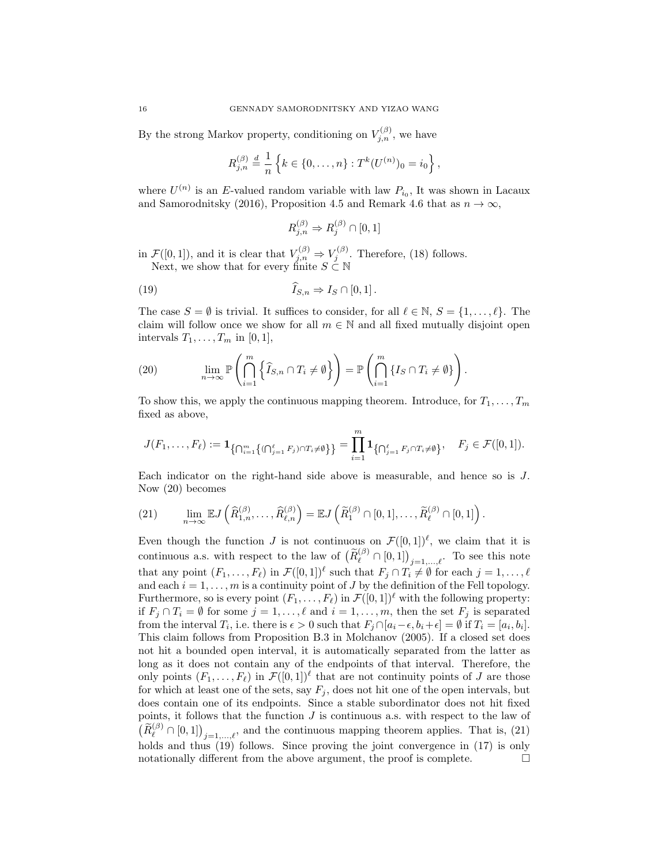By the strong Markov property, conditioning on  $V_{j,n}^{(\beta)}$ , we have

$$
R_{j,n}^{(\beta)} \stackrel{d}{=} \frac{1}{n} \left\{ k \in \{0, \ldots, n\} : T^k(U^{(n)})_0 = i_0 \right\},\,
$$

where  $U^{(n)}$  is an E-valued random variable with law  $P_{i_0}$ , It was shown in Lacaux and Samorodnitsky (2016), Proposition 4.5 and Remark 4.6 that as  $n \to \infty$ ,

$$
R_{j,n}^{(\beta)} \Rightarrow R_j^{(\beta)} \cap [0,1]
$$

in  $\mathcal{F}([0,1])$ , and it is clear that  $V_{j,n}^{(\beta)} \Rightarrow V_j^{(\beta)}$ . Therefore, (18) follows. Next, we show that for every finite  $S \subseteq \mathbb{N}$ 

(19) 
$$
I_{S,n} \Rightarrow I_S \cap [0,1].
$$

The case  $S = \emptyset$  is trivial. It suffices to consider, for all  $\ell \in \mathbb{N}, S = \{1, \ldots, \ell\}$ . The claim will follow once we show for all  $m \in \mathbb{N}$  and all fixed mutually disjoint open intervals  $T_1, \ldots, T_m$  in [0, 1],

(20) 
$$
\lim_{n \to \infty} \mathbb{P}\left(\bigcap_{i=1}^{m} \left\{\widehat{I}_{S,n} \cap T_i \neq \emptyset\right\}\right) = \mathbb{P}\left(\bigcap_{i=1}^{m} \left\{I_S \cap T_i \neq \emptyset\right\}\right).
$$

To show this, we apply the continuous mapping theorem. Introduce, for  $T_1, \ldots, T_m$ fixed as above,

$$
J(F_1,\ldots,F_\ell) := \mathbf{1}_{\left\{\bigcap_{i=1}^m \left\{(\bigcap_{j=1}^\ell F_j) \cap T_i \neq \emptyset\right\}\right\}} = \prod_{i=1}^m \mathbf{1}_{\left\{\bigcap_{j=1}^\ell F_j \cap T_i \neq \emptyset\right\}}, \quad F_j \in \mathcal{F}([0,1]).
$$

Each indicator on the right-hand side above is measurable, and hence so is J. Now (20) becomes

(21) 
$$
\lim_{n\to\infty} \mathbb{E} J\left(\widehat{R}_{1,n}^{(\beta)},\ldots,\widehat{R}_{\ell,n}^{(\beta)}\right) = \mathbb{E} J\left(\widetilde{R}_{1}^{(\beta)} \cap [0,1],\ldots,\widetilde{R}_{\ell}^{(\beta)} \cap [0,1]\right).
$$

Even though the function J is not continuous on  $\mathcal{F}([0,1])^{\ell}$ , we claim that it is continuous a.s. with respect to the law of  $(\widetilde{R}_{\ell}^{(\beta)} \cap [0,1])_{j=1,\ldots,\ell}$ . To see this note that any point  $(F_1, \ldots, F_\ell)$  in  $\mathcal{F}([0, 1])^{\ell}$  such that  $F_j \cap T_i \neq \emptyset$  for each  $j = 1, \ldots, \ell$ and each  $i = 1, \ldots, m$  is a continuity point of J by the definition of the Fell topology. Furthermore, so is every point  $(F_1, \ldots, F_\ell)$  in  $\mathcal{F}([0, 1])^\ell$  with the following property: if  $F_j \cap T_i = \emptyset$  for some  $j = 1, ..., \ell$  and  $i = 1, ..., m$ , then the set  $F_j$  is separated from the interval  $T_i$ , i.e. there is  $\epsilon > 0$  such that  $F_j \cap [a_i - \epsilon, b_i + \epsilon] = \emptyset$  if  $T_i = [a_i, b_i]$ . This claim follows from Proposition B.3 in Molchanov (2005). If a closed set does not hit a bounded open interval, it is automatically separated from the latter as long as it does not contain any of the endpoints of that interval. Therefore, the only points  $(F_1, \ldots, F_\ell)$  in  $\mathcal{F}([0, 1])^{\ell}$  that are not continuity points of J are those for which at least one of the sets, say  $F_j$ , does not hit one of the open intervals, but does contain one of its endpoints. Since a stable subordinator does not hit fixed points, it follows that the function  $J$  is continuous a.s. with respect to the law of  $\left(\widetilde{R}_{\ell}^{(\beta)} \cap [0,1]\right)_{j=1,\ldots,\ell}$ , and the continuous mapping theorem applies. That is, (21) holds and thus (19) follows. Since proving the joint convergence in (17) is only notationally different from the above argument, the proof is complete.  $\Box$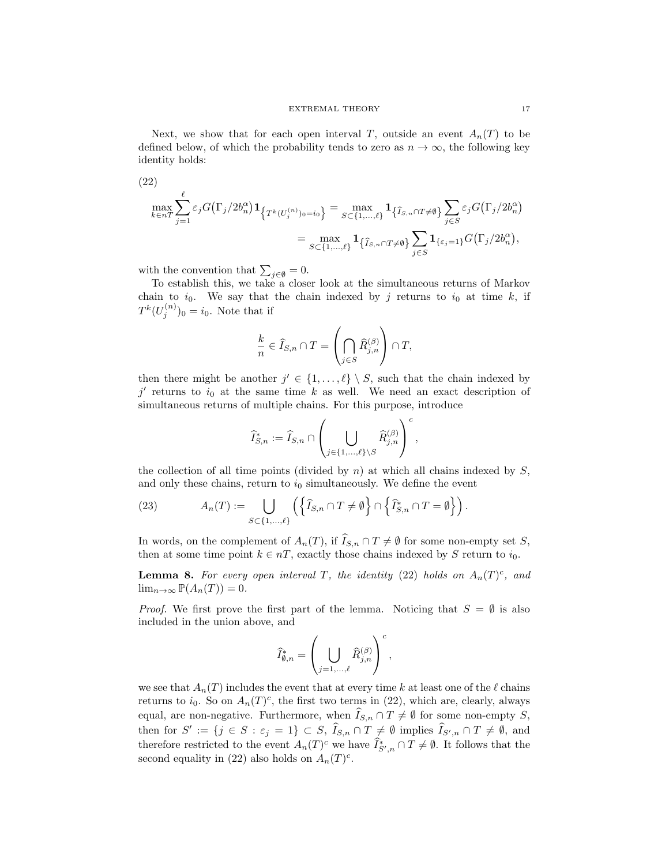Next, we show that for each open interval T, outside an event  $A_n(T)$  to be defined below, of which the probability tends to zero as  $n \to \infty$ , the following key identity holds:

(22)  
\n
$$
\max_{k \in nT} \sum_{j=1}^{\ell} \varepsilon_j G(\Gamma_j/2b_n^{\alpha}) \mathbf{1}_{\left\{T^k(U_j^{(n)})_0 = i_0\right\}} = \max_{S \subset \{1, \dots, \ell\}} \mathbf{1}_{\left\{\widehat{I}_{S,n} \cap T \neq \emptyset\right\}} \sum_{j \in S} \varepsilon_j G(\Gamma_j/2b_n^{\alpha})
$$
\n
$$
= \max_{S \subset \{1, \dots, \ell\}} \mathbf{1}_{\left\{\widehat{I}_{S,n} \cap T \neq \emptyset\right\}} \sum_{j \in S} \mathbf{1}_{\left\{\varepsilon_j = 1\right\}} G(\Gamma_j/2b_n^{\alpha}),
$$

with the convention that  $\sum_{j\in\emptyset} = 0$ .

To establish this, we take a closer look at the simultaneous returns of Markov chain to  $i_0$ . We say that the chain indexed by j returns to  $i_0$  at time k, if  $T^{k}(U_j^{(n)})_0 = i_0$ . Note that if

$$
\frac{k}{n} \in \widehat{I}_{S,n} \cap T = \left(\bigcap_{j \in S} \widehat{R}_{j,n}^{(\beta)}\right) \cap T,
$$

then there might be another  $j' \in \{1, \ldots, \ell\} \setminus S$ , such that the chain indexed by  $j'$  returns to  $i_0$  at the same time k as well. We need an exact description of simultaneous returns of multiple chains. For this purpose, introduce

$$
\widehat{I}^*_{S,n}:=\widehat{I}_{S,n}\cap \left(\bigcup_{j\in\{1,...,\ell\}\backslash S}\widehat{R}_{j,n}^{(\beta)}\right)^c,
$$

the collection of all time points (divided by  $n$ ) at which all chains indexed by  $S$ , and only these chains, return to  $i_0$  simultaneously. We define the event

(23) 
$$
A_n(T) := \bigcup_{S \subset \{1, ..., \ell\}} \left( \left\{ \widehat{I}_{S,n} \cap T \neq \emptyset \right\} \cap \left\{ \widehat{I}_{S,n}^* \cap T = \emptyset \right\} \right).
$$

In words, on the complement of  $A_n(T)$ , if  $\widehat{I}_{S,n} \cap T \neq \emptyset$  for some non-empty set S, then at some time point  $k \in nT$ , exactly those chains indexed by S return to  $i_0$ .

**Lemma 8.** For every open interval T, the identity (22) holds on  $A_n(T)^c$ , and  $\lim_{n\to\infty} \mathbb{P}(A_n(T)) = 0.$ 

*Proof.* We first prove the first part of the lemma. Noticing that  $S = \emptyset$  is also included in the union above, and

$$
\widehat{I}_{\varnothing,n}^*=\left(\bigcup_{j=1,...,\ell}\widehat{R}_{j,n}^{(\beta)}\right)^c,
$$

we see that  $A_n(T)$  includes the event that at every time k at least one of the  $\ell$  chains returns to  $i_0$ . So on  $A_n(T)^c$ , the first two terms in (22), which are, clearly, always equal, are non-negative. Furthermore, when  $I_{S,n} \cap T \neq \emptyset$  for some non-empty S, then for  $S' := \{j \in S : \varepsilon_j = 1\} \subset S$ ,  $\widehat{I}_{S,n} \cap T \neq \emptyset$  implies  $\widehat{I}_{S',n} \cap T \neq \emptyset$ , and therefore restricted to the event  $A_n(T)^c$  we have  $\widehat{I}_{S',n}^* \cap T \neq \emptyset$ . It follows that the second equality in (22) also holds on  $A_n(T)^c$ .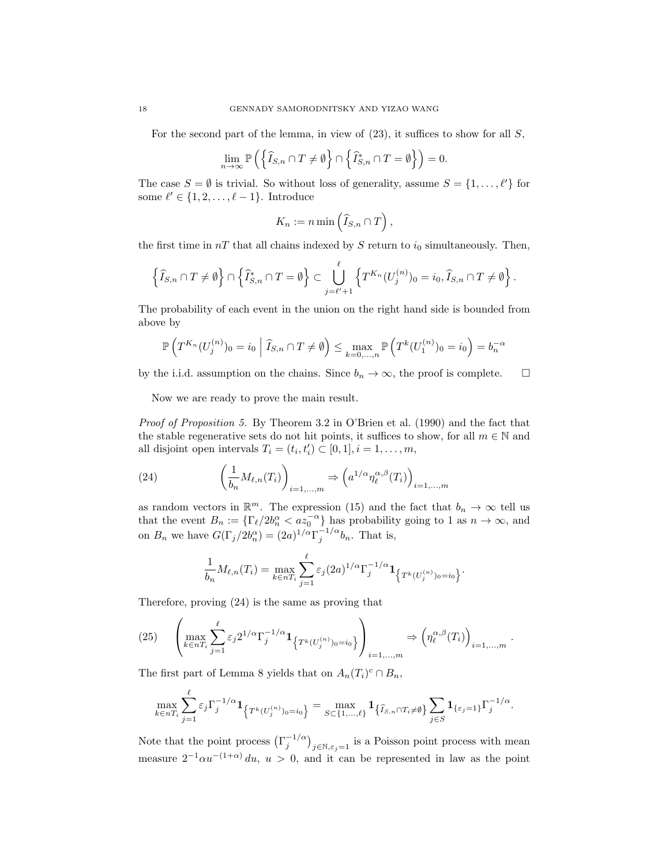For the second part of the lemma, in view of  $(23)$ , it suffices to show for all S,

$$
\lim_{n \to \infty} \mathbb{P}\left( \left\{ \widehat{I}_{S,n} \cap T \neq \emptyset \right\} \cap \left\{ \widehat{I}_{S,n}^* \cap T = \emptyset \right\} \right) = 0.
$$

The case  $S = \emptyset$  is trivial. So without loss of generality, assume  $S = \{1, \ldots, \ell'\}$  for some  $\ell' \in \{1, 2, \ldots, \ell - 1\}$ . Introduce

$$
K_n := n \min\left(\widehat{I}_{S,n} \cap T\right),\,
$$

the first time in  $nT$  that all chains indexed by S return to  $i_0$  simultaneously. Then,

$$
\left\{\widehat{I}_{S,n}\cap T\neq\emptyset\right\}\cap\left\{\widehat{I}_{S,n}^*\cap T=\emptyset\right\}\subset\bigcup_{j=\ell'+1}^{\ell}\left\{T^{K_n}(U_j^{(n)})_0=i_0,\widehat{I}_{S,n}\cap T\neq\emptyset\right\}.
$$

The probability of each event in the union on the right hand side is bounded from above by

$$
\mathbb{P}\left(T^{K_n}(U_j^{(n)})_0=i_0\middle|\widehat{I}_{S,n}\cap T\neq\emptyset\right)\leq \max_{k=0,\dots,n}\mathbb{P}\left(T^k(U_1^{(n)})_0=i_0\right)=b_n^{-\alpha}
$$

by the i.i.d. assumption on the chains. Since  $b_n \to \infty$ , the proof is complete.  $\square$ 

Now we are ready to prove the main result.

Proof of Proposition 5. By Theorem 3.2 in O'Brien et al. (1990) and the fact that the stable regenerative sets do not hit points, it suffices to show, for all  $m \in \mathbb{N}$  and all disjoint open intervals  $T_i = (t_i, t'_i) \subset [0, 1], i = 1, \ldots, m$ ,

(24) 
$$
\left(\frac{1}{b_n}M_{\ell,n}(T_i)\right)_{i=1,\dots,m} \Rightarrow \left(a^{1/\alpha}\eta_{\ell}^{\alpha,\beta}(T_i)\right)_{i=1,\dots,m}
$$

as random vectors in  $\mathbb{R}^m$ . The expression (15) and the fact that  $b_n \to \infty$  tell us that the event  $B_n := {\lbrace \Gamma_{\ell}/2b_n^{\alpha} < az_0^{-\alpha} \rbrace}$  has probability going to 1 as  $n \to \infty$ , and on  $B_n$  we have  $G(\Gamma_j/2b_n^{\alpha}) = (2a)^{1/\alpha} \Gamma_j^{-1/\alpha} b_n$ . That is,

$$
\frac{1}{b_n} M_{\ell,n}(T_i) = \max_{k \in nT_i} \sum_{j=1}^{\ell} \varepsilon_j(2a)^{1/\alpha} \Gamma_j^{-1/\alpha} \mathbf{1}_{\left\{T^k(U_j^{(n)})_0 = i_0\right\}}.
$$

Therefore, proving (24) is the same as proving that

$$
(25) \qquad \left(\max_{k\in nT_i}\sum_{j=1}^{\ell}\varepsilon_j 2^{1/\alpha}\Gamma_j^{-1/\alpha}\mathbf{1}_{\left\{T^k(U_j^{(n)})_0=i_0\right\}}\right)_{i=1,\dots,m}\Rightarrow \left(\eta_{\ell}^{\alpha,\beta}(T_i)\right)_{i=1,\dots,m}.
$$

The first part of Lemma 8 yields that on  $A_n(T_i)^c \cap B_n$ ,

$$
\max_{k\in nT_i}\sum_{j=1}^{\ell}\varepsilon_j\Gamma_j^{-1/\alpha}\mathbf{1}_{\left\{T^k(U_j^{(n)})_0=i_0\right\}}=\max_{S\subset\{1,\ldots,\ell\}}\mathbf{1}_{\left\{\widehat{I}_{S,n}\cap T_i\neq\emptyset\right\}}\sum_{j\in S}\mathbf{1}_{\left\{\varepsilon_j=1\right\}}\Gamma_j^{-1/\alpha}.
$$

Note that the point process  $(\Gamma_j^{-1/\alpha})_{j \in \mathbb{N}, \varepsilon_j=1}$  is a Poisson point process with mean measure  $2^{-1}\alpha u^{-(1+\alpha)} du$ ,  $u > 0$ , and it can be represented in law as the point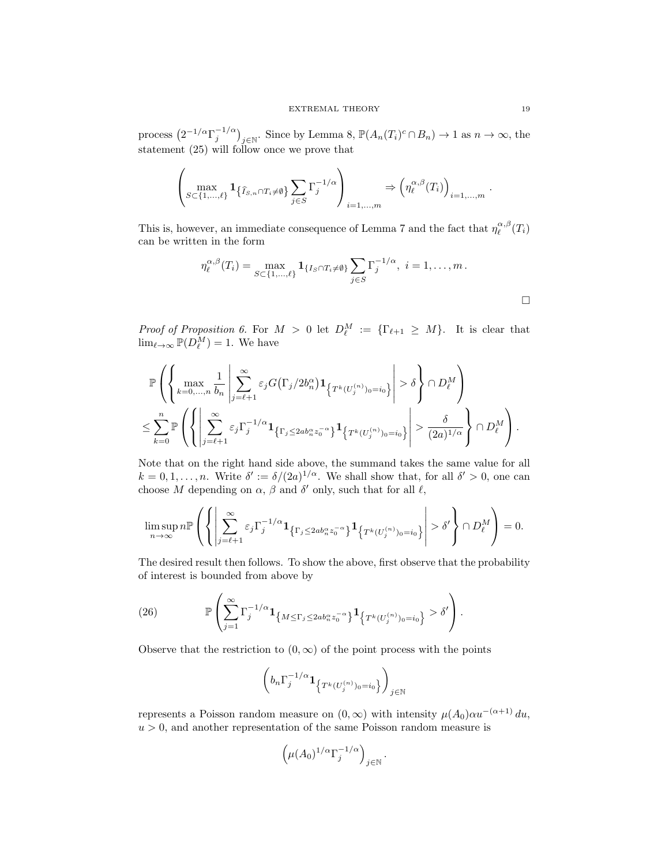process  $(2^{-1/\alpha} \Gamma_j^{-1/\alpha})_{j \in \mathbb{N}}$ . Since by Lemma 8,  $\mathbb{P}(A_n(T_i)^c \cap B_n) \to 1$  as  $n \to \infty$ , the statement (25) will follow once we prove that

$$
\left(\max_{S\subset\{1,\ldots,\ell\}}\mathbf{1}_{\{\widehat{I}_{S,n}\cap T_i\neq\emptyset\}}\sum_{j\in S}\Gamma_j^{-1/\alpha}\right)_{i=1,\ldots,m}\Rightarrow\left(\eta_{\ell}^{\alpha,\beta}(T_i)\right)_{i=1,\ldots,m}.
$$

This is, however, an immediate consequence of Lemma 7 and the fact that  $\eta_{\ell}^{\alpha,\beta}(T_i)$ can be written in the form

$$
\eta_{\ell}^{\alpha,\beta}(T_i)=\max_{S\subset\{1,\ldots,\ell\}}\mathbf{1}_{\{I_S\cap T_i\neq\emptyset\}}\sum_{j\in S}\Gamma_j^{-1/\alpha},\ i=1,\ldots,m.
$$

Proof of Proposition 6. For  $M > 0$  let  $D_{\ell}^M := {\lbrace \Gamma_{\ell+1} \geq M \rbrace}$ . It is clear that  $\lim_{\ell \to \infty} \mathbb{P}(D_{\ell}^M) = 1$ . We have

$$
\mathbb{P}\left(\left\{\max_{k=0,\ldots,n}\frac{1}{b_n}\left|\sum_{j=\ell+1}^{\infty}\varepsilon_jG(\Gamma_j/2b_n^{\alpha})\mathbf{1}_{\left\{\sum_{j=\ell+1}^{k}(U_j^{(n)})_0=i_0\right\}}\right|>\delta\right\}\cap D_{\ell}^M\right)\leq \sum_{k=0}^n \mathbb{P}\left(\left\{\left|\sum_{j=\ell+1}^{\infty}\varepsilon_j\Gamma_j^{-1/\alpha}\mathbf{1}_{\left\{\Gamma_j\leq 2ab_n^{\alpha}z_0^{-\alpha}\right\}}\mathbf{1}_{\left\{\sum_{j=\ell+1}^{k}(U_j^{(n)})_0=i_0\right\}}\right|\geq \frac{\delta}{(2a)^{1/\alpha}}\right\}\cap D_{\ell}^M\right).
$$

Note that on the right hand side above, the summand takes the same value for all  $k = 0, 1, \ldots, n$ . Write  $\delta' := \delta/(2a)^{1/\alpha}$ . We shall show that, for all  $\delta' > 0$ , one can choose M depending on  $\alpha$ ,  $\beta$  and  $\delta'$  only, such that for all  $\ell$ ,

$$
\limsup_{n\to\infty}n\mathbb P\left(\left\{\left|\sum_{j=\ell+1}^\infty\varepsilon_j\Gamma_j^{-1/\alpha}{\bf 1}_{\left\{\Gamma_j\leq 2ab_n^\alpha z_0^{-\alpha}\right\}}{\bf 1}_{\left\{\operatorname{T}^k(U_j^{(n)})_0=i_0\right\}}\right|>\delta'\right\}\cap D_\ell^M\right)=0.
$$

The desired result then follows. To show the above, first observe that the probability of interest is bounded from above by

(26) 
$$
\mathbb{P}\left(\sum_{j=1}^{\infty}\Gamma_j^{-1/\alpha}\mathbf{1}_{\left\{M\leq \Gamma_j\leq 2ab_n^{\alpha}z_0^{-\alpha}\right\}}\mathbf{1}_{\left\{T^k(U_j^{(n)})_0=i_0\right\}}>\delta'\right).
$$

Observe that the restriction to  $(0, \infty)$  of the point process with the points

$$
\left(b_n \Gamma_j^{-1/\alpha} \mathbf{1}_{\left\{T^k(U_j^{(n)})_0=i_0\right\}}\right)_{j\in\mathbb{N}}
$$

represents a Poisson random measure on  $(0, \infty)$  with intensity  $\mu(A_0) \alpha u^{-(\alpha+1)} du$ ,  $u > 0$ , and another representation of the same Poisson random measure is

$$
\left(\mu(A_0)^{1/\alpha}\Gamma_j^{-1/\alpha}\right)_{j\in\mathbb{N}}.
$$

 $\Box$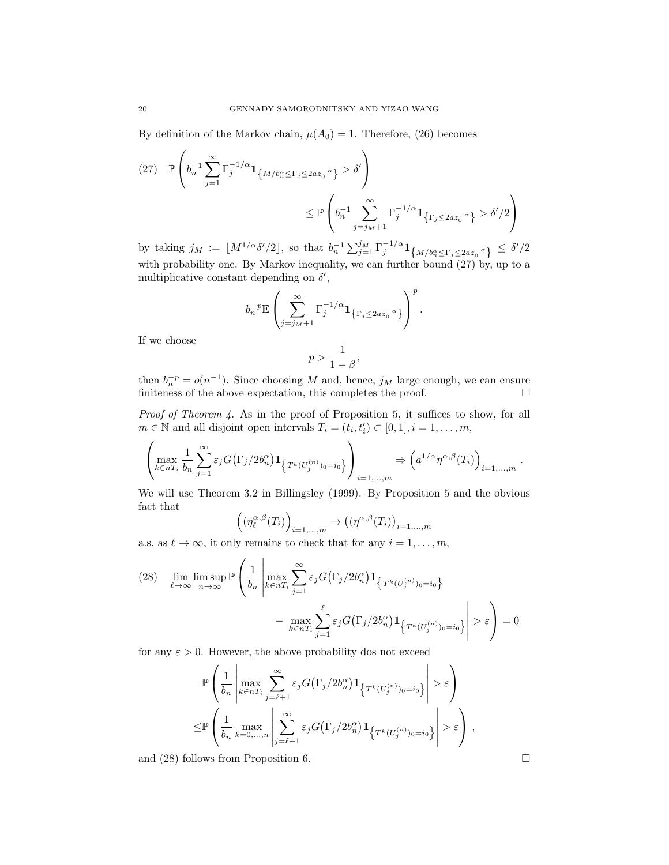By definition of the Markov chain,  $\mu(A_0) = 1$ . Therefore, (26) becomes

$$
(27) \mathbb{P}\left(b_n^{-1}\sum_{j=1}^{\infty}\Gamma_j^{-1/\alpha}\mathbf{1}_{\{M/b_n^{\alpha}\leq \Gamma_j\leq 2az_0^{-\alpha}\}} > \delta'\right)
$$

$$
\leq \mathbb{P}\left(b_n^{-1}\sum_{j=j_M+1}^{\infty}\Gamma_j^{-1/\alpha}\mathbf{1}_{\{\Gamma_j\leq 2az_0^{-\alpha}\}} > \delta'/2\right)
$$

by taking  $j_M := \lfloor M^{1/\alpha} \delta'/2 \rfloor$ , so that  $b_n^{-1} \sum_{j=1}^{j_M} \Gamma_j^{-1/\alpha} \mathbf{1}_{\{M/b_n^{\alpha} \leq \Gamma_j \leq 2az_0^{-\alpha}\}} \leq \delta'/2$ with probability one. By Markov inequality, we can further bound  $(27)$  by, up to a multiplicative constant depending on  $\delta'$ ,

$$
b_n^{-p} \mathbb{E}\left(\sum_{j=j_M+1}^{\infty} \Gamma_j^{-1/\alpha} \mathbf{1}_{\left\{\Gamma_j \leq 2az_0^{-\alpha}\right\}}\right)^p.
$$

If we choose

$$
p>\frac{1}{1-\beta},
$$

then  $b_n^{-p} = o(n^{-1})$ . Since choosing M and, hence,  $j_M$  large enough, we can ensure finiteness of the above expectation, this completes the proof.  $\Box$ 

Proof of Theorem 4. As in the proof of Proposition 5, it suffices to show, for all  $m \in \mathbb{N}$  and all disjoint open intervals  $T_i = (t_i, t'_i) \subset [0, 1], i = 1, \ldots, m$ ,

$$
\left(\max_{k\in nT_i}\frac{1}{b_n}\sum_{j=1}^{\infty}\varepsilon_j G(\Gamma_j/2b_n^{\alpha})\mathbf{1}_{\left\{T^k(U_j^{(n)})_0=i_0\right\}}\right)_{i=1,\dots,m}\Rightarrow\left(a^{1/\alpha}\eta^{\alpha,\beta}(T_i)\right)_{i=1,\dots,m}.
$$

We will use Theorem 3.2 in Billingsley (1999). By Proposition 5 and the obvious fact that

$$
\left( \left( \eta_{\ell}^{\alpha,\beta}(T_i) \right)_{i=1,\dots,m} \to \left( \left( \eta^{\alpha,\beta}(T_i) \right)_{i=1,\dots,m} \right)
$$

a.s. as  $\ell \to \infty$ , it only remains to check that for any  $i = 1, \ldots, m$ ,

(28) 
$$
\lim_{\ell \to \infty} \limsup_{n \to \infty} \mathbb{P}\left(\frac{1}{b_n} \left| \max_{k \in nT_i} \sum_{j=1}^{\infty} \varepsilon_j G(\Gamma_j/2b_n^{\alpha}) \mathbf{1}_{\left\{T^k(U_j^{(n)})_0 = i_0\right\}} \right| > \varepsilon\right) = \max_{k \in nT_i} \sum_{j=1}^{\ell} \varepsilon_j G(\Gamma_j/2b_n^{\alpha}) \mathbf{1}_{\left\{T^k(U_j^{(n)})_0 = i_0\right\}} \geq \varepsilon\right) = 0
$$

for any  $\varepsilon > 0$ . However, the above probability dos not exceed

$$
\mathbb{P}\left(\frac{1}{b_n}\left|\max_{k\in nT_i}\sum_{j=\ell+1}^{\infty}\varepsilon_j G(\Gamma_j/2b_n^{\alpha})\mathbf{1}_{\left\{\nabla^k(U_j^{(n)})_0=i_0\right\}}\right|>\varepsilon\right)
$$
  

$$
\leq \mathbb{P}\left(\frac{1}{b_n}\max_{k=0,\ldots,n}\left|\sum_{j=\ell+1}^{\infty}\varepsilon_j G(\Gamma_j/2b_n^{\alpha})\mathbf{1}_{\left\{\nabla^k(U_j^{(n)})_0=i_0\right\}}\right|>\varepsilon\right),
$$

and (28) follows from Proposition 6.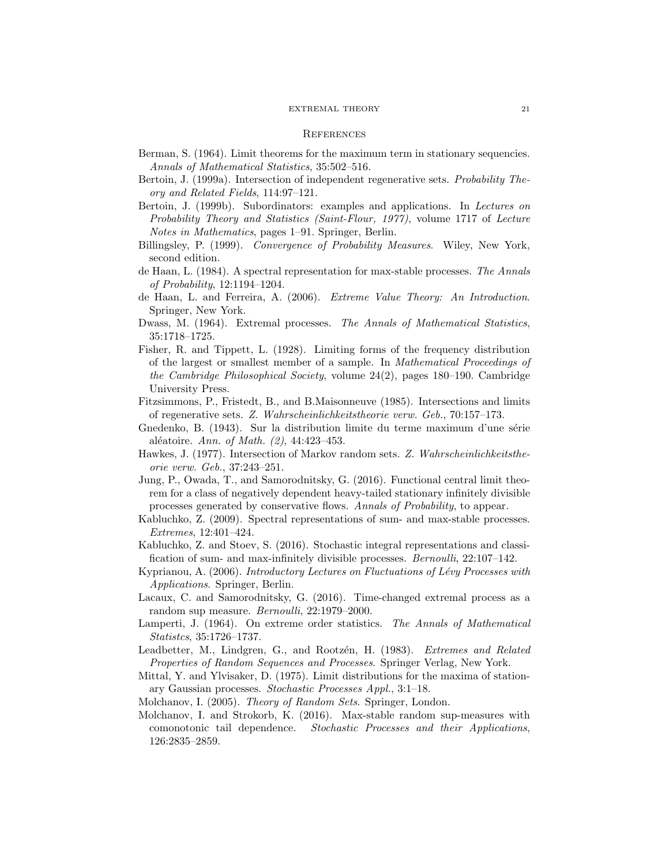#### **REFERENCES**

- Berman, S. (1964). Limit theorems for the maximum term in stationary sequencies. Annals of Mathematical Statistics, 35:502–516.
- Bertoin, J. (1999a). Intersection of independent regenerative sets. Probability Theory and Related Fields, 114:97–121.
- Bertoin, J. (1999b). Subordinators: examples and applications. In Lectures on Probability Theory and Statistics (Saint-Flour, 1977), volume 1717 of Lecture Notes in Mathematics, pages 1–91. Springer, Berlin.
- Billingsley, P. (1999). Convergence of Probability Measures. Wiley, New York, second edition.
- de Haan, L. (1984). A spectral representation for max-stable processes. The Annals of Probability, 12:1194–1204.
- de Haan, L. and Ferreira, A. (2006). Extreme Value Theory: An Introduction. Springer, New York.
- Dwass, M. (1964). Extremal processes. The Annals of Mathematical Statistics, 35:1718–1725.
- Fisher, R. and Tippett, L. (1928). Limiting forms of the frequency distribution of the largest or smallest member of a sample. In Mathematical Proceedings of the Cambridge Philosophical Society, volume 24(2), pages 180–190. Cambridge University Press.
- Fitzsimmons, P., Fristedt, B., and B.Maisonneuve (1985). Intersections and limits of regenerative sets. Z. Wahrscheinlichkeitstheorie verw. Geb., 70:157–173.
- Gnedenko, B. (1943). Sur la distribution limite du terme maximum d'une série aléatoire. Ann. of Math.  $(2)$ , 44:423-453.
- Hawkes, J. (1977). Intersection of Markov random sets. Z. Wahrscheinlichkeitstheorie verw. Geb., 37:243–251.
- Jung, P., Owada, T., and Samorodnitsky, G. (2016). Functional central limit theorem for a class of negatively dependent heavy-tailed stationary infinitely divisible processes generated by conservative flows. Annals of Probability, to appear.
- Kabluchko, Z. (2009). Spectral representations of sum- and max-stable processes. Extremes, 12:401–424.
- Kabluchko, Z. and Stoev, S. (2016). Stochastic integral representations and classification of sum- and max-infinitely divisible processes. Bernoulli, 22:107–142.
- Kyprianou, A. (2006). Introductory Lectures on Fluctuations of Lévy Processes with Applications. Springer, Berlin.
- Lacaux, C. and Samorodnitsky, G. (2016). Time-changed extremal process as a random sup measure. Bernoulli, 22:1979–2000.
- Lamperti, J. (1964). On extreme order statistics. The Annals of Mathematical Statistcs, 35:1726–1737.
- Leadbetter, M., Lindgren, G., and Rootzén, H. (1983). Extremes and Related Properties of Random Sequences and Processes. Springer Verlag, New York.
- Mittal, Y. and Ylvisaker, D. (1975). Limit distributions for the maxima of stationary Gaussian processes. Stochastic Processes Appl., 3:1–18.
- Molchanov, I. (2005). Theory of Random Sets. Springer, London.
- Molchanov, I. and Strokorb, K. (2016). Max-stable random sup-measures with comonotonic tail dependence. Stochastic Processes and their Applications, 126:2835–2859.